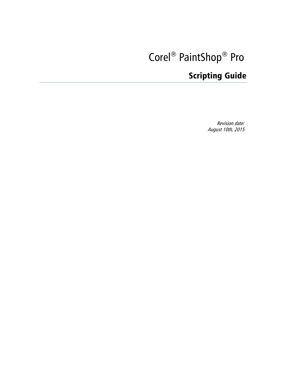# Corel<sup>®</sup> PaintShop<sup>®</sup> Pro

# Scripting Guide

Revision date: August 10th, 2015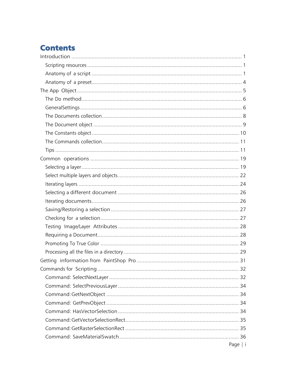# **Contents**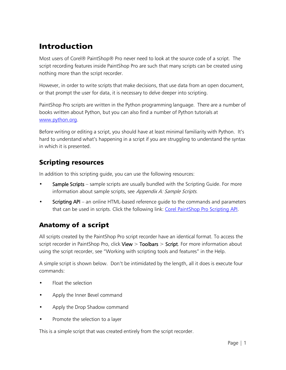# <span id="page-3-0"></span>Introduction

Most users of Corel® PaintShop® Pro never need to look at the source code of a script. The script recording features inside PaintShop Pro are such that many scripts can be created using nothing more than the script recorder.

However, in order to write scripts that make decisions, that use data from an open document, or that prompt the user for data, it is necessary to delve deeper into scripting.

PaintShop Pro scripts are written in the Python programming language. There are a number of books written about Python, but you can also find a number of Python tutorials at [www.python.org.](http://www.python.org/)

Before writing or editing a script, you should have at least minimal familiarity with Python. It's hard to understand what's happening in a script if you are struggling to understand the syntax in which it is presented.

# <span id="page-3-1"></span>Scripting resources

In addition to this scripting guide, you can use the following resources:

- Sample Scripts sample scripts are usually bundled with the Scripting Guide. For more information about sample scripts, see [Appendix A: Sample Scripts](#page-64-0).
- Scripting API an online HTML-based reference quide to the commands and parameters that can be used in scripts. Click the following link: [Corel PaintShop Pro Scripting API.](http://apps.corel.com/redirect?_redirect=command&function=api&app=PhotoPro&version=x6&lang=EN&licenseid=540214299)

# <span id="page-3-2"></span>Anatomy of a script

All scripts created by the PaintShop Pro script recorder have an identical format. To access the script recorder in PaintShop Pro, click View  $>$  Toolbars  $>$  Script. For more information about using the script recorder, see "Working with scripting tools and features" in the Help.

A simple script is shown below. Don't be intimidated by the length, all it does is execute four commands:

- Float the selection
- Apply the Inner Bevel command
- Apply the Drop Shadow command
- Promote the selection to a layer

This is a simple script that was created entirely from the script recorder.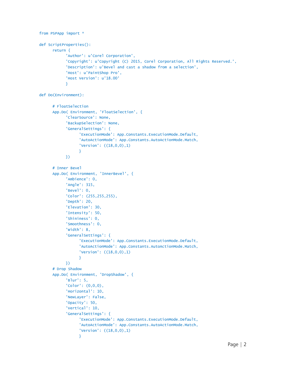```
from PSPApp import *
def ScriptProperties():
      return {
            'Author': u'Corel Corporation',
            'Copyright': u'Copyright (C) 2015, Corel Corporation, All Rights Reserved.',
            'Description': u'Bevel and cast a shadow from a selection',
            'Host': u'PaintShop Pro',
            'Host Version': u'18.00'
            }
def Do(Environment):
      # FloatSelection
      App.Do( Environment, 'FloatSelection', {
            'ClearSource': None,
            'BackupSelection': None,
            'GeneralSettings': {
                  'ExecutionMode': App.Constants.ExecutionMode.Default,
                  'AutoActionMode': App.Constants.AutoActionMode.Match,
                  'Version': ((18,0,0),1)
                 }
           })
      # Inner Bevel
      App.Do( Environment, 'InnerBevel', {
            'Ambience': 0,
            'Angle': 315,
            'Bevel': 0,
            'Color': (255,255,255),
            'Depth': 20,
            'Elevation': 30,
            'Intensity': 50,
            'Shininess': 0,
            'Smoothness': 0,
            'Width': 8,
            'GeneralSettings': {
                  'ExecutionMode': App.Constants.ExecutionMode.Default,
                  'AutoActionMode': App.Constants.AutoActionMode.Match,
                  'Version': ((18,0,0),1)
                  }
           })
      # Drop Shadow
      App.Do( Environment, 'DropShadow', {
            'Blur': 5,
            'Color': (0,0,0),
            'Horizontal': 10,
            'NewLayer': False,
            'Opacity': 50,
            'Vertical': 10,
            'GeneralSettings': {
                  'ExecutionMode': App.Constants.ExecutionMode.Default,
                  'AutoActionMode': App.Constants.AutoActionMode.Match,
                  'Version': ((18,0,0),1)
                  }
```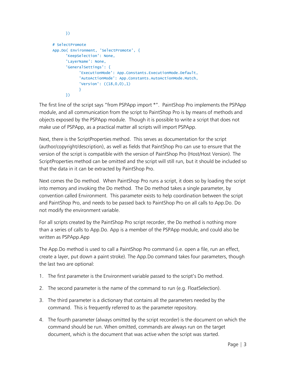```
})
# SelectPromote
App.Do( Environment, 'SelectPromote', {
      'KeepSelection': None,
      'LayerName': None,
      'GeneralSettings': {
           'ExecutionMode': App.Constants.ExecutionMode.Default,
            'AutoActionMode': App.Constants.AutoActionMode.Match,
           'Version': ((18,0,0),1)
           }
     })
```
The first line of the script says "from PSPApp import \*". PaintShop Pro implements the PSPApp module, and all communication from the script to PaintShop Pro is by means of methods and objects exposed by the PSPApp module. Though it is possible to write a script that does not make use of PSPApp, as a practical matter all scripts will import PSPApp.

Next, there is the ScriptProperties method. This serves as documentation for the script (author/copyright/description), as well as fields that PaintShop Pro can use to ensure that the version of the script is compatible with the version of PaintShop Pro (Host/Host Version). The ScriptProperties method can be omitted and the script will still run, but it should be included so that the data in it can be extracted by PaintShop Pro.

Next comes the Do method. When PaintShop Pro runs a script, it does so by loading the script into memory and invoking the Do method. The Do method takes a single parameter, by convention called Environment. This parameter exists to help coordination between the script and PaintShop Pro, and needs to be passed back to PaintShop Pro on all calls to App.Do. Do not modify the environment variable.

For all scripts created by the PaintShop Pro script recorder, the Do method is nothing more than a series of calls to App.Do. App is a member of the PSPApp module, and could also be written as PSPApp.App

The App.Do method is used to call a PaintShop Pro command (i.e. open a file, run an effect, create a layer, put down a paint stroke). The App.Do command takes four parameters, though the last two are optional:

- 1. The first parameter is the Environment variable passed to the script's Do method.
- 2. The second parameter is the name of the command to run (e.g. FloatSelection).
- 3. The third parameter is a dictionary that contains all the parameters needed by the command. This is frequently referred to as the parameter repository.
- 4. The fourth parameter (always omitted by the script recorder) is the document on which the command should be run. When omitted, commands are always run on the target document, which is the document that was active when the script was started.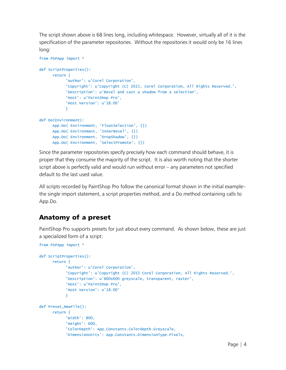The script shown above is 68 lines long, including whitespace. However, virtually all of it is the specification of the parameter repositories. Without the repositories it would only be 16 lines long:

```
from PSPApp import *
def ScriptProperties():
      return {
            'Author': u'Corel Corporation',
            'Copyright': u'Copyright (C) 2015, Corel Corporation, All Rights Reserved.',
            'Description': u'Bevel and cast a shadow from a selection',
           'Host': u'PaintShop Pro',
            'Host Version': u'18.00'
           }
def Do(Environment):
      App.Do( Environment, 'FloatSelection', {})
      App.Do( Environment, 'InnerBevel', {})
      App.Do( Environment, 'DropShadow', {})
      App.Do( Environment, 'SelectPromote', {})
```
Since the parameter repositories specify precisely how each command should behave, it is proper that they consume the majority of the script. It is also worth noting that the shorter script above is perfectly valid and would run without error – any parameters not specified default to the last used value.

All scripts recorded by PaintShop Pro follow the canonical format shown in the initial example– the single import statement, a script properties method, and a Do method containing calls to App.Do.

# <span id="page-6-0"></span>Anatomy of a preset

PaintShop Pro supports presets for just about every command. As shown below, these are just a specialized form of a script:

```
from PSPApp import *
def ScriptProperties():
      return {
            'Author': u'Corel Corporation',
            'Copyright': u'Copyright (C) 2015 Corel Corporation, All Rights Reserved.',
            'Description': u'800x600 greyscale, transparent, raster',
            'Host': u'PaintShop Pro',
           'Host Version': u'18.00'
           }
def Preset_NewFile():
      return {
            'Width': 800,
            'Height': 600,
           'ColorDepth': App.Constants.Colordepth.Greyscale,
            'DimensionUnits': App.Constants.DimensionType.Pixels,
```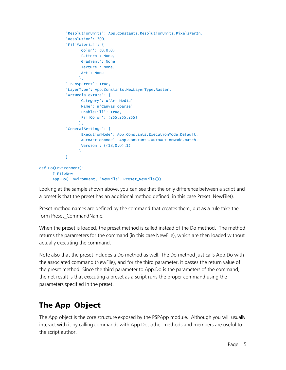```
'ResolutionUnits': App.Constants.ResolutionUnits.PixelsPerIn,
            'Resolution': 300,
            'FillMaterial': {
                 'Color': (0,0,0),
                 'Pattern': None,
                  'Gradient': None,
                  'Texture': None,
                  'Art': None
                 },
            'Transparent': True,
            'LayerType': App.Constants.NewLayerType.Raster,
            'ArtMediaTexture': {
                  'Category': u'Art Media',
                  'Name': u'Canvas coarse'.
                  'EnableFill': True,
                  'FillColor': (255,255,255)
                 },
            'GeneralSettings': {
                 'ExecutionMode': App.Constants.ExecutionMode.Default,
                  'AutoActionMode': App.Constants.AutoActionMode.Match,
                  'Version': ((18,0,0),1)
                 }
            }
def Do(Environment):
      # FileNew
      App.Do( Environment, 'NewFile', Preset_NewFile())
```
Looking at the sample shown above, you can see that the only difference between a script and a preset is that the preset has an additional method defined, in this case Preset NewFile().

Preset method names are defined by the command that creates them, but as a rule take the form Preset\_CommandName.

When the preset is loaded, the preset method is called instead of the Do method. The method returns the parameters for the command (in this case NewFile), which are then loaded without actually executing the command.

Note also that the preset includes a Do method as well. The Do method just calls App.Do with the associated command (NewFile), and for the third parameter, it passes the return value of the preset method. Since the third parameter to App.Do is the parameters of the command, the net result is that executing a preset as a script runs the proper command using the parameters specified in the preset.

# <span id="page-7-0"></span>The App Object

The App object is the core structure exposed by the PSPApp module. Although you will usually interact with it by calling commands with App.Do, other methods and members are useful to the script author.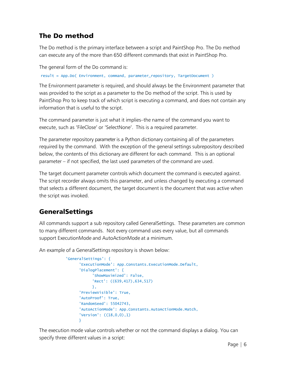# <span id="page-8-0"></span>The Do method

The Do method is the primary interface between a script and PaintShop Pro. The Do method can execute any of the more than 650 different commands that exist in PaintShop Pro.

The general form of the Do command is:

result = App.Do( Environment, command, parameter\_repository, TargetDocument )

The Environment parameter is required, and should always be the Environment parameter that was provided to the script as a parameter to the Do method of the script. This is used by PaintShop Pro to keep track of which script is executing a command, and does not contain any information that is useful to the script.

The command parameter is just what it implies–the name of the command you want to execute, such as 'FileClose' or 'SelectNone'. This is a required parameter.

The parameter repository parameter is a Python dictionary containing all of the parameters required by the command. With the exception of the general settings subrepository described below, the contents of this dictionary are different for each command. This is an optional parameter – if not specified, the last used parameters of the command are used.

The target document parameter controls which document the command is executed against. The script recorder always omits this parameter, and unless changed by executing a command that selects a different document, the target document is the document that was active when the script was invoked.

# <span id="page-8-1"></span>GeneralSettings

All commands support a sub repository called GeneralSettings. These parameters are common to many different commands. Not every command uses every value, but all commands support ExecutionMode and AutoActionMode at a minimum.

An example of a GeneralSettings repository is shown below:

```
'GeneralSettings': {
      'ExecutionMode': App.Constants.ExecutionMode.Default,
     'DialogPlacement': {
           'ShowMaximized': False,
           'Rect': ((639,417),634,517)
           },
      'PreviewVisible': True,
      'AutoProof': True,
      'RandomSeed': 55042743,
      'AutoActionMode': App.Constants.AutoActionMode.Match,
      'Version': ((18,0,0),1)
      }
```
The execution mode value controls whether or not the command displays a dialog. You can specify three different values in a script: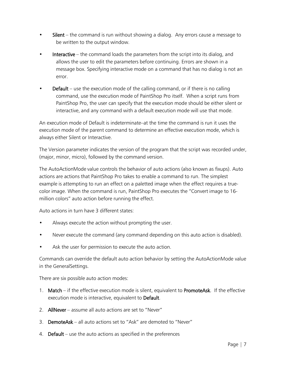- Silent the command is run without showing a dialog. Any errors cause a message to be written to the output window.
- Interactive the command loads the parameters from the script into its dialog, and allows the user to edit the parameters before continuing. Errors are shown in a message box. Specifying interactive mode on a command that has no dialog is not an error.
- **Default** use the execution mode of the calling command, or if there is no calling command, use the execution mode of PaintShop Pro itself. When a script runs from PaintShop Pro, the user can specify that the execution mode should be either silent or interactive, and any command with a default execution mode will use that mode.

An execution mode of Default is indeterminate–at the time the command is run it uses the execution mode of the parent command to determine an effective execution mode, which is always either Silent or Interactive.

The Version parameter indicates the version of the program that the script was recorded under, (major, minor, micro), followed by the command version.

The AutoActionMode value controls the behavior of auto actions (also known as fixups). Auto actions are actions that PaintShop Pro takes to enable a command to run. The simplest example is attempting to run an effect on a paletted image when the effect requires a truecolor image. When the command is run, PaintShop Pro executes the "Convert image to 16 million colors" auto action before running the effect.

Auto actions in turn have 3 different states:

- Always execute the action without prompting the user.
- Never execute the command (any command depending on this auto action is disabled).
- Ask the user for permission to execute the auto action.

Commands can override the default auto action behavior by setting the AutoActionMode value in the GeneralSettings.

There are six possible auto action modes:

- 1. Match if the effective execution mode is silent, equivalent to PromoteAsk. If the effective execution mode is interactive, equivalent to Default.
- 2. AllNever assume all auto actions are set to "Never"
- 3. DemoteAsk all auto actions set to "Ask" are demoted to "Never"
- 4. Default use the auto actions as specified in the preferences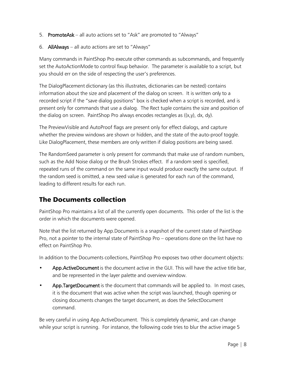- 5. PromoteAsk all auto actions set to "Ask" are promoted to "Always"
- 6. AllAlways all auto actions are set to "Always"

Many commands in PaintShop Pro execute other commands as subcommands, and frequently set the AutoActionMode to control fixup behavior. The parameter is available to a script, but you should err on the side of respecting the user's preferences.

The DialogPlacement dictionary (as this illustrates, dictionaries can be nested) contains information about the size and placement of the dialog on screen. It is written only to a recorded script if the "save dialog positions" box is checked when a script is recorded, and is present only for commands that use a dialog. The Rect tuple contains the size and position of the dialog on screen. PaintShop Pro always encodes rectangles as ((x,y), dx, dy).

The PreviewVisible and AutoProof flags are present only for effect dialogs, and capture whether the preview windows are shown or hidden, and the state of the auto-proof toggle. Like DialogPlacement, these members are only written if dialog positions are being saved.

The RandomSeed parameter is only present for commands that make use of random numbers, such as the Add Noise dialog or the Brush Strokes effect. If a random seed is specified, repeated runs of the command on the same input would produce exactly the same output. If the random seed is omitted, a new seed value is generated for each run of the command, leading to different results for each run.

# <span id="page-10-0"></span>The Documents collection

PaintShop Pro maintains a list of all the currently open documents. This order of the list is the order in which the documents were opened.

Note that the list returned by App.Documents is a snapshot of the current state of PaintShop Pro, not a pointer to the internal state of PaintShop Pro – operations done on the list have no effect on PaintShop Pro.

In addition to the Documents collections, PaintShop Pro exposes two other document objects:

- App. Active Document is the document active in the GUI. This will have the active title bar, and be represented in the layer palette and overview window.
- App. Target Document is the document that commands will be applied to. In most cases, it is the document that was active when the script was launched, though opening or closing documents changes the target document, as does the SelectDocument command.

Be very careful in using App.ActiveDocument. This is completely dynamic, and can change while your script is running. For instance, the following code tries to blur the active image 5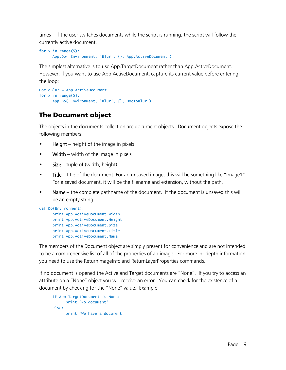times – if the user switches documents while the script is running, the script will follow the currently active document.

```
for x in range(5):
      App.Do( Environment, 'Blur', {}, App.ActiveDocument )
```
The simplest alternative is to use App.TargetDocument rather than App.ActiveDocument. However, if you want to use App.ActiveDocument, capture its current value before entering the loop:

```
DocToBlur = App.ActiveDcoument
for x in range(5):
      App.Do( Environment, 'Blur', {}, DocToBlur )
```
# <span id="page-11-0"></span>The Document object

The objects in the documents collection are document objects. Document objects expose the following members:

- **Height** height of the image in pixels
- **Width** width of the image in pixels
- Size tuple of (width, height)
- Title title of the document. For an unsaved image, this will be something like "Image1". For a saved document, it will be the filename and extension, without the path.
- Name the complete pathname of the document. If the document is unsaved this will be an empty string.

```
def Do(Environment):
      print App.ActiveDocument.Width
      print App.ActiveDocument.Height
      print App.ActiveDocument.Size
      print App.ActiveDocument.Title
      print App.ActiveDocument.Name
```
The members of the Document object are simply present for convenience and are not intended to be a comprehensive list of all of the properties of an image. For more in- depth information you need to use the ReturnImageInfo and ReturnLayerProperties commands.

If no document is opened the Active and Target documents are "None". If you try to access an attribute on a "None" object you will receive an error. You can check for the existence of a document by checking for the "None" value. Example:

```
if App.TargetDocument is None:
     print 'No document'
else:
     print 'We have a document'
```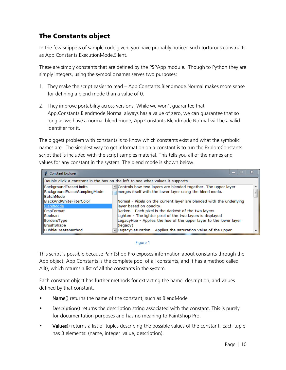# <span id="page-12-0"></span>The Constants object

In the few snippets of sample code given, you have probably noticed such torturous constructs as App.Constants.ExecutionMode.Silent.

These are simply constants that are defined by the PSPApp module. Though to Python they are simply integers, using the symbolic names serves two purposes:

- 1. They make the script easier to read App.Constants.Blendmode.Normal makes more sense for defining a blend mode than a value of 0.
- 2. They improve portability across versions. While we won't guarantee that App.Constants.Blendmode.Normal always has a value of zero, we can guarantee that so long as we have a normal blend mode, App.Constants.Blendmode.Normal will be a valid identifier for it.

The biggest problem with constants is to know which constants exist and what the symbolic names are. The simplest way to get information on a constant is to run the ExploreConstants script that is included with the script samples material. This tells you all of the names and values for any constant in the system. The blend mode is shown below.

| <b>Constant Explorer</b>                                                      | ıш<br>$\equiv$                                                                                                                                  | x |  |
|-------------------------------------------------------------------------------|-------------------------------------------------------------------------------------------------------------------------------------------------|---|--|
| Double click a constant in the box on the left to see what values it supports |                                                                                                                                                 |   |  |
| BackgroundEraserLimits<br>BackgroundEraserSamplingMode<br><b>BatchMode</b>    | A Controls how two layers are blended together. The upper layer<br>merges itself with the lower layer using the blend mode.                     | 틔 |  |
| <b>BlackAndWhiteFilterColor</b><br>BlendMode                                  | Normal - Pixels on the current layer are blended with the underlying<br>layer based on opacity.                                                 |   |  |
| <b>BmpFormat</b><br><b>Boolean</b>                                            | Darken - Each pixel is the darkest of the two layers<br>Lighten - The lighter pixel of the two layers is displayed                              |   |  |
| BordersType<br>BrushShape<br><b>IBubbleCreateMethod</b>                       | LegacyHue - Applies the hue of the upper layer to the lower layer<br>(legacy)<br>- LegacySaturation - Applies the saturation value of the upper |   |  |

#### Figure 1

This script is possible because PaintShop Pro exposes information about constants through the App object. App.Constants is the complete pool of all constants, and it has a method called All(), which returns a list of all the constants in the system.

Each constant object has further methods for extracting the name, description, and values defined by that constant.

- Name() returns the name of the constant, such as BlendMode
- **Description**() returns the description string associated with the constant. This is purely for documentation purposes and has no meaning to PaintShop Pro.
- Values() returns a list of tuples describing the possible values of the constant. Each tuple has 3 elements: (name, integer value, description).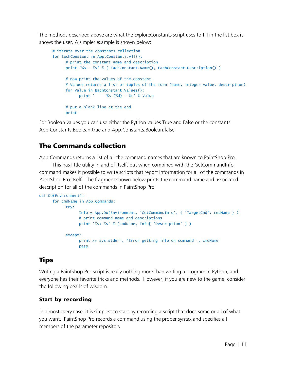The methods described above are what the ExploreConstants script uses to fill in the list box it shows the user. A simpler example is shown below:

```
# iterate over the constants collection
for EachConstant in App.Constants.All():
     # print the constant name and description
     print '%s - %s' % ( EachConstant.Name(), EachConstant.Description() )
     # now print the values of the constant
     # Values returns a list of tuples of the form (name, integer value, description)
     for Value in EachConstant.Values():
           print ' %s (%d) - %s' % Value
     # put a blank line at the end
     print
```
For Boolean values you can use either the Python values True and False or the constants App.Constants.Boolean.true and App.Constants.Boolean.false.

# <span id="page-13-0"></span>The Commands collection

App.Commands returns a list of all the command names that are known to PaintShop Pro.

This has little utility in and of itself, but when combined with the GetCommandInfo command makes it possible to write scripts that report information for all of the commands in PaintShop Pro itself. The fragment shown below prints the command name and associated description for all of the commands in PaintShop Pro:

```
def Do(Environment):
     for cmdName in App.Commands:
           try:
                 Info = App.Do(Environment, 'GetCommandInfo', { 'TargetCmd': cmdName } )
                 # print command name and descriptions
                 print '%s: %s' % (cmdName, Info[ 'Description' ] )
           except:
                 print >> sys.stderr, 'Error getting info on command ', cmdName
                 pass
```
# <span id="page-13-1"></span>**Tips**

Writing a PaintShop Pro script is really nothing more than writing a program in Python, and everyone has their favorite tricks and methods. However, if you are new to the game, consider the following pearls of wisdom.

### Start by recording

In almost every case, it is simplest to start by recording a script that does some or all of what you want. PaintShop Pro records a command using the proper syntax and specifies all members of the parameter repository.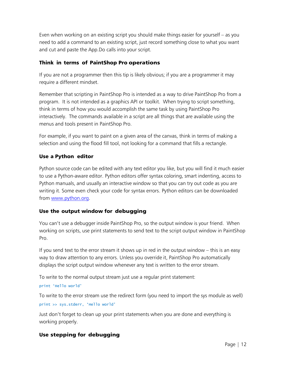Even when working on an existing script you should make things easier for yourself – as you need to add a command to an existing script, just record something close to what you want and cut and paste the App.Do calls into your script.

#### Think in terms of PaintShop Pro operations

If you are not a programmer then this tip is likely obvious; if you are a programmer it may require a different mindset.

Remember that scripting in PaintShop Pro is intended as a way to drive PaintShop Pro from a program. It is not intended as a graphics API or toolkit. When trying to script something, think in terms of how you would accomplish the same task by using PaintShop Pro interactively. The commands available in a script are all things that are available using the menus and tools present in PaintShop Pro.

For example, if you want to paint on a given area of the canvas, think in terms of making a selection and using the flood fill tool, not looking for a command that fills a rectangle.

#### Use a Python editor

Python source code can be edited with any text editor you like, but you will find it much easier to use a Python-aware editor. Python editors offer syntax coloring, smart indenting, access to Python manuals, and usually an interactive window so that you can try out code as you are writing it. Some even check your code for syntax errors. Python editors can be downloaded from [www.python.org.](http://www.python.org/)

#### Use the output window for debugging

You can't use a debugger inside PaintShop Pro, so the output window is your friend. When working on scripts, use print statements to send text to the script output window in PaintShop Pro.

If you send text to the error stream it shows up in red in the output window – this is an easy way to draw attention to any errors. Unless you override it, PaintShop Pro automatically displays the script output window whenever any text is written to the error stream.

To write to the normal output stream just use a regular print statement:

#### print 'Hello world'

To write to the error stream use the redirect form (you need to import the sys module as well) print >> sys.stderr, 'Hello world'

Just don't forget to clean up your print statements when you are done and everything is working properly.

### Use stepping for debugging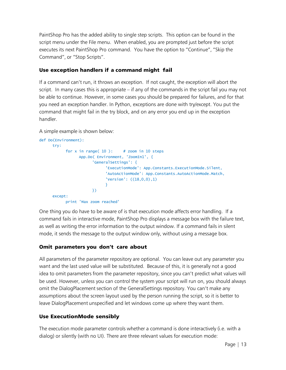PaintShop Pro has the added ability to single step scripts. This option can be found in the script menu under the File menu. When enabled, you are prompted just before the script executes its next PaintShop Pro command. You have the option to "Continue", "Skip the Command", or "Stop Scripts".

#### Use exception handlers if a command might fail

If a command can't run, it throws an exception. If not caught, the exception will abort the script. In many cases this is appropriate – if any of the commands in the script fail you may not be able to continue. However, in some cases you should be prepared for failures, and for that you need an exception handler. In Python, exceptions are done with try/except. You put the command that might fail in the try block, and on any error you end up in the exception handler.

A simple example is shown below:

```
def Do(Environment):
     try:
           for x in range( 10 ): # zoom in 10 steps
                 App.Do( Environment, 'ZoomIn1', {
                       'GeneralSettings': {
                             'ExecutionMode': App.Constants.ExecutionMode.Silent,
                             'AutoActionMode': App.Constants.AutoActionMode.Match,
                             'Version': ((18,0,0),1)
                             }
                       })
     except:
           print 'Max zoom reached'
```
One thing you do have to be aware of is that execution mode affects error handling. If a command fails in interactive mode, PaintShop Pro displays a message box with the failure text, as well as writing the error information to the output window. If a command fails in silent mode, it sends the message to the output window only, without using a message box.

#### Omit parameters you don't care about

All parameters of the parameter repository are optional. You can leave out any parameter you want and the last used value will be substituted. Because of this, it is generally not a good idea to omit parameters from the parameter repository, since you can't predict what values will be used. However, unless you can control the system your script will run on, you should always omit the DialogPlacement section of the GeneralSettings repository. You can't make any assumptions about the screen layout used by the person running the script, so it is better to leave DialogPlacement unspecified and let windows come up where they want them.

#### Use ExecutionMode sensibly

The execution mode parameter controls whether a command is done interactively (i.e. with a dialog) or silently (with no UI). There are three relevant values for execution mode: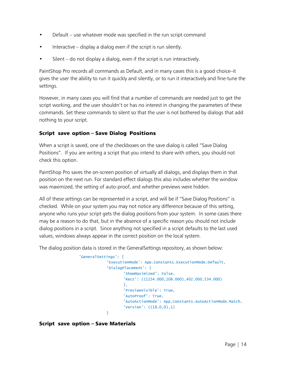- Default use whatever mode was specified in the run script command
- Interactive display a dialog even if the script is run silently.
- Silent  $-$  do not display a dialog, even if the script is run interactively.

PaintShop Pro records all commands as Default, and in many cases this is a good choice–it gives the user the ability to run it quickly and silently, or to run it interactively and fine-tune the settings.

However, in many cases you will find that a number of commands are needed just to get the script working, and the user shouldn't or has no interest in changing the parameters of these commands. Set these commands to silent so that the user is not bothered by dialogs that add nothing to your script.

#### Script save option – Save Dialog Positions

When a script is saved, one of the checkboxes on the save dialog is called "Save Dialog Positions". If you are writing a script that you intend to share with others, you should not check this option.

PaintShop Pro saves the on-screen position of virtually all dialogs, and displays them in that position on the next run. For standard effect dialogs this also includes whether the window was maximized, the setting of auto-proof, and whether previews were hidden.

All of these settings can be represented in a script, and will be if "Save Dialog Positions" is checked. While on your system you may not notice any difference because of this setting, anyone who runs your script gets the dialog positions from your system. In some cases there may be a reason to do that, but in the absence of a specific reason you should not include dialog positions in a script. Since anything not specified in a script defaults to the last used values, windows always appear in the correct position on the local system.

The dialog position data is stored in the GeneralSettings repository, as shown below:

```
'GeneralSettings': {
            'ExecutionMode': App.Constants.ExecutionMode.Default,
            'DialogPlacement': {
                   'ShowMaximized': False,
                   'Rect': ((1154.000,108.000),402.000,534.000)
                   },
                   'PreviewVisible': True,
                   'AutoProof': True,
                   'AutoActionMode': App.Constants.AutoActionMode.Match,
                   'Version': ((18,0,0),1)
            }
```
#### Script save option – Save Materials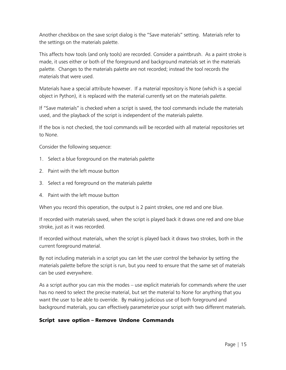Another checkbox on the save script dialog is the "Save materials" setting. Materials refer to the settings on the materials palette.

This affects how tools (and only tools) are recorded. Consider a paintbrush. As a paint stroke is made, it uses either or both of the foreground and background materials set in the materials palette. Changes to the materials palette are not recorded; instead the tool records the materials that were used.

Materials have a special attribute however. If a material repository is None (which is a special object in Python), it is replaced with the material currently set on the materials palette.

If "Save materials" is checked when a script is saved, the tool commands include the materials used, and the playback of the script is independent of the materials palette.

If the box is not checked, the tool commands will be recorded with all material repositories set to None.

Consider the following sequence:

- 1. Select a blue foreground on the materials palette
- 2. Paint with the left mouse button
- 3. Select a red foreground on the materials palette
- 4. Paint with the left mouse button

When you record this operation, the output is 2 paint strokes, one red and one blue.

If recorded with materials saved, when the script is played back it draws one red and one blue stroke, just as it was recorded.

If recorded without materials, when the script is played back it draws two strokes, both in the current foreground material.

By not including materials in a script you can let the user control the behavior by setting the materials palette before the script is run, but you need to ensure that the same set of materials can be used everywhere.

As a script author you can mix the modes – use explicit materials for commands where the user has no need to select the precise material, but set the material to None for anything that you want the user to be able to override. By making judicious use of both foreground and background materials, you can effectively parameterize your script with two different materials.

#### Script save option – Remove Undone Commands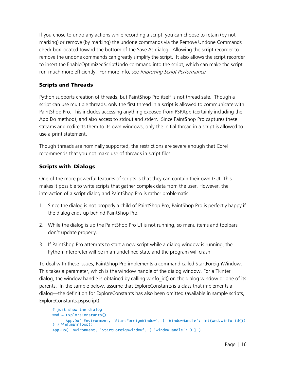If you chose to undo any actions while recording a script, you can choose to retain (by not marking) or remove (by marking) the undone commands via the Remove Undone Commands check box located toward the bottom of the Save As dialog. Allowing the script recorder to remove the undone commands can greatly simplify the script. It also allows the script recorder to insert the EnableOptimizedScriptUndo command into the script, which can make the script run much more efficiently. For more info, see Improving [Script Performance.](#page-20-0)

#### Scripts and Threads

Python supports creation of threads, but PaintShop Pro itself is not thread safe. Though a script can use multiple threads, only the first thread in a script is allowed to communicate with PaintShop Pro. This includes accessing anything exposed from PSPApp (certainly including the App.Do method), and also access to stdout and stderr. Since PaintShop Pro captures these streams and redirects them to its own windows, only the initial thread in a script is allowed to use a print statement.

Though threads are nominally supported, the restrictions are severe enough that Corel recommends that you not make use of threads in script files.

#### Scripts with Dialogs

One of the more powerful features of scripts is that they can contain their own GUI. This makes it possible to write scripts that gather complex data from the user. However, the interaction of a script dialog and PaintShop Pro is rather problematic.

- 1. Since the dialog is not properly a child of PaintShop Pro, PaintShop Pro is perfectly happy if the dialog ends up behind PaintShop Pro.
- 2. While the dialog is up the PaintShop Pro UI is not running, so menu items and toolbars don't update properly.
- 3. If PaintShop Pro attempts to start a new script while a dialog window is running, the Python interpreter will be in an undefined state and the program will crash.

To deal with these issues, PaintShop Pro implements a command called StartForeignWindow. This takes a parameter, which is the window handle of the dialog window. For a Tkinter dialog, the window handle is obtained by calling winfo\_id() on the dialog window or one of its parents. In the sample below, assume that ExploreConstants is a class that implements a dialog—the definition for ExploreConstants has also been omitted (available in sample scripts, ExploreConstants.pspscript).

```
# just show the dialog
Wnd = ExploreConstants()
     App.Do( Environment, 'StartForeignWindow', { 'WindowHandle': int(Wnd.winfo_id()) 
\} ) Wnd.mainloop()
App.Do( Environment, 'StartForeignWindow', { 'WindowHandle': 0 } )
```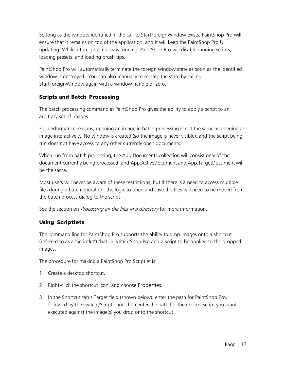So long as the window identified in the call to StartForeignWindow exists, PaintShop Pro will ensure that it remains on top of the application, and it will keep the PaintShop Pro UI updating. While a foreign window is running, PaintShop Pro will disable running scripts, loading presets, and loading brush tips.

PaintShop Pro will automatically terminate the foreign window state as soon as the identified window is destroyed. You can also manually terminate the state by calling StartForeignWindow again with a window handle of zero.

#### Scripts and Batch Processing

The batch processing command in PaintShop Pro gives the ability to apply a script to an arbitrary set of images.

For performance reasons, opening an image in batch processing is not the same as opening an image interactively. No window is created (so the image is never visible), and the script being run does not have access to any other currently open documents.

When run from batch processing, the App.Documents collection will consist only of the document currently being processed, and App.ActiveDocument and App.TargetDocument will be the same.

Most users will never be aware of these restrictions, but if there is a need to access multiple files during a batch operation, the logic to open and save the files will need to be moved from the batch process dialog to the script.

See the section on *[Processing all the files in a directory](#page-31-1)* for more information.

#### Using Scriptlets

The command line for PaintShop Pro supports the ability to drop images onto a shortcut (referred to as a "Scriptlet") that calls PaintShop Pro and a script to be applied to the dropped images.

The procedure for making a PaintShop Pro Scriptlet is:

- 1. Create a desktop shortcut.
- 2. Right-click the shortcut icon, and choose Properties.
- 3. In the Shortcut tab's Target field (shown below), enter the path for PaintShop Pro, followed by the switch /Script, and then enter the path for the desired script you want executed against the image(s) you drop onto the shortcut.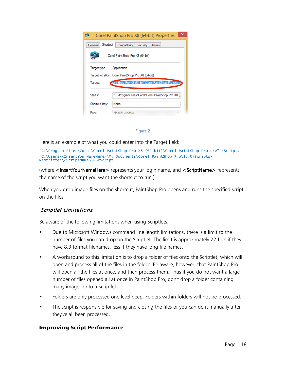| ×<br>Corel PaintShop Pro X8 (64-bit) Properties                    |                                                  |  |  |  |
|--------------------------------------------------------------------|--------------------------------------------------|--|--|--|
| Shortcut<br>General<br>Compatibility<br>Security<br><b>Details</b> |                                                  |  |  |  |
| Corel Paint Shop Pro X8 (64-bit)                                   |                                                  |  |  |  |
| Target type:<br>Application                                        |                                                  |  |  |  |
| Target location: Corel Paint Shop Pro X8 (64-bit)                  |                                                  |  |  |  |
| pintShop Pro X8 (64-bit)\Corel PaintShop Pro.exe<br>Target:        |                                                  |  |  |  |
| Start in:                                                          | "C:\Program Files\Corel\Corel PaintShop Pro X8 ( |  |  |  |
| Shortcut key:                                                      | None                                             |  |  |  |
| Runt                                                               | Normal window                                    |  |  |  |

#### Figure 2

Here is an example of what you could enter into the Target field:

"C:\Program Files\Corel\Corel PaintShop Pro X8 (64-bit)\Corel PaintShop Pro.exe" /Script. "C:\Users\<InsertYourNameHere>\My Documents\Corel PaintShop Pro\18.0\Scripts-Restricted\<ScriptName>.PSPScript"

(where <InsertYourNameHere> represents your login name, and <ScriptName> represents the name of the script you want the shortcut to run.)

When you drop image files on the shortcut, PaintShop Pro opens and runs the specified script on the files.

#### Scriptlet Limitations

Be aware of the following limitations when using Scriptlets:

- Due to Microsoft Windows command line length limitations, there is a limit to the number of files you can drop on the Scriptlet. The limit is approximately 22 files if they have 8.3 format filenames, less if they have long file names.
- A workaround to this limitation is to drop a folder of files onto the Scriptlet, which will open and process all of the files in the folder. Be aware, however, that PaintShop Pro will open all the files at once, and then process them. Thus if you do not want a large number of files opened all at once in PaintShop Pro, don't drop a folder containing many images onto a Scriptlet.
- Folders are only processed one level deep. Folders within folders will not be processed.
- The script is responsible for saving and closing the files or you can do it manually after they've all been processed.

#### <span id="page-20-0"></span>Improving Script Performance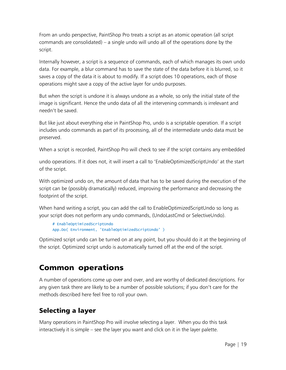From an undo perspective, PaintShop Pro treats a script as an atomic operation (all script commands are consolidated) – a single undo will undo all of the operations done by the script.

Internally however, a script is a sequence of commands, each of which manages its own undo data. For example, a blur command has to save the state of the data before it is blurred, so it saves a copy of the data it is about to modify. If a script does 10 operations, each of those operations might save a copy of the active layer for undo purposes.

But when the script is undone it is always undone as a whole, so only the initial state of the image is significant. Hence the undo data of all the intervening commands is irrelevant and needn't be saved.

But like just about everything else in PaintShop Pro, undo is a scriptable operation. If a script includes undo commands as part of its processing, all of the intermediate undo data must be preserved.

When a script is recorded, PaintShop Pro will check to see if the script contains any embedded

undo operations. If it does not, it will insert a call to 'EnableOptimizedScriptUndo' at the start of the script.

With optimized undo on, the amount of data that has to be saved during the execution of the script can be (possibly dramatically) reduced, improving the performance and decreasing the footprint of the script.

When hand writing a script, you can add the call to EnableOptimizedScriptUndo so long as your script does not perform any undo commands, (UndoLastCmd or SelectiveUndo).

```
# EnableOptimizedScriptUndo
App.Do( Environment, 'EnableOptimizedScriptUndo' )
```
Optimized script undo can be turned on at any point, but you should do it at the beginning of the script. Optimized script undo is automatically turned off at the end of the script.

# <span id="page-21-0"></span>Common operations

A number of operations come up over and over, and are worthy of dedicated descriptions. For any given task there are likely to be a number of possible solutions; if you don't care for the methods described here feel free to roll your own.

# <span id="page-21-1"></span>Selecting a layer

Many operations in PaintShop Pro will involve selecting a layer. When you do this task interactively it is simple – see the layer you want and click on it in the layer palette.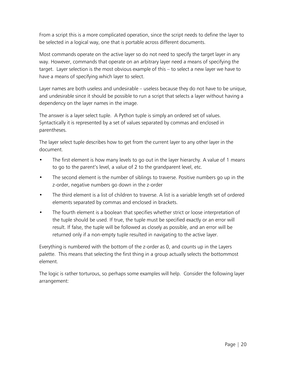From a script this is a more complicated operation, since the script needs to define the layer to be selected in a logical way, one that is portable across different documents.

Most commands operate on the active layer so do not need to specify the target layer in any way. However, commands that operate on an arbitrary layer need a means of specifying the target. Layer selection is the most obvious example of this – to select a new layer we have to have a means of specifying which layer to select.

Layer names are both useless and undesirable – useless because they do not have to be unique, and undesirable since it should be possible to run a script that selects a layer without having a dependency on the layer names in the image.

The answer is a layer select tuple. A Python tuple is simply an ordered set of values. Syntactically it is represented by a set of values separated by commas and enclosed in parentheses.

The layer select tuple describes how to get from the current layer to any other layer in the document.

- The first element is how many levels to go out in the layer hierarchy. A value of 1 means to go to the parent's level, a value of 2 to the grandparent level, etc.
- The second element is the number of siblings to traverse. Positive numbers go up in the z-order, negative numbers go down in the z-order
- The third element is a list of children to traverse. A list is a variable length set of ordered elements separated by commas and enclosed in brackets.
- The fourth element is a boolean that specifies whether strict or loose interpretation of the tuple should be used. If true, the tuple must be specified exactly or an error will result. If false, the tuple will be followed as closely as possible, and an error will be returned only if a non-empty tuple resulted in navigating to the active layer.

Everything is numbered with the bottom of the z-order as 0, and counts up in the Layers palette. This means that selecting the first thing in a group actually selects the bottommost element.

The logic is rather torturous, so perhaps some examples will help. Consider the following layer arrangement: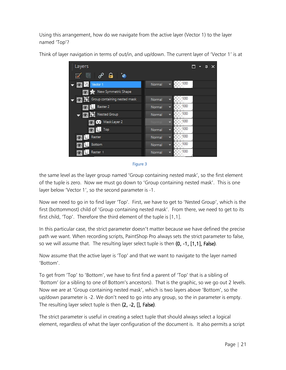Using this arrangement, how do we navigate from the active layer (Vector 1) to the layer named 'Top'?



Think of layer navigation in terms of out/in, and up/down. The current layer of 'Vector 1' is at

<span id="page-23-0"></span>

the same level as the layer group named 'Group containing nested mask', so the first element of the tuple is zero. Now we must go down to 'Group containing nested mask'. This is one layer below 'Vector 1', so the second parameter is -1.

Now we need to go in to find layer 'Top'. First, we have to get to 'Nested Group', which is the first (bottommost) child of 'Group containing nested mask'. From there, we need to get to its first child, 'Top'. Therefore the third element of the tuple is [1,1].

In this particular case, the strict parameter doesn't matter because we have defined the precise path we want. When recording scripts, PaintShop Pro always sets the strict parameter to false, so we will assume that. The resulting layer select tuple is then (0, -1, [1,1], False).

Now assume that the active layer is 'Top' and that we want to navigate to the layer named 'Bottom'.

To get from 'Top' to 'Bottom', we have to first find a parent of 'Top' that is a sibling of 'Bottom' (or a sibling to one of Bottom's ancestors). That is the graphic, so we go out 2 levels. Now we are at 'Group containing nested mask', which is two layers above 'Bottom', so the up/down parameter is -2. We don't need to go into any group, so the in parameter is empty. The resulting layer select tuple is then (2, -2, [], False).

The strict parameter is useful in creating a select tuple that should always select a logical element, regardless of what the layer configuration of the document is. It also permits a script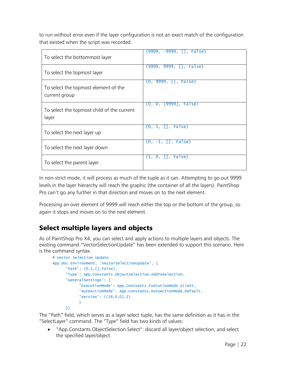to run without error even if the layer configuration is not an exact match of the configuration that existed when the script was recorded.

| To select the bottommost layer                        | $(9999, -9999, []$ , False) |
|-------------------------------------------------------|-----------------------------|
| To select the topmost layer                           | $(9999, 9999, []$ , False)  |
| To select the topmost element of the<br>current group | $(0, 9999, []$ , False)     |
| To select the topmost child of the current<br>layer   | (0, 0, [9999], False)       |
| To select the next layer up                           | $(0, 1, []$ , False)        |
| To select the next layer down                         | $(0, -1, []$ , False)       |
| To select the parent layer                            | $(1, 0, []$ , False)        |

In non-strict mode, it will process as much of the tuple as it can. Attempting to go out 9999 levels in the layer hierarchy will reach the graphic (the container of all the layers). PaintShop Pro can't go any further in that direction and moves on to the next element.

Processing an over element of 9999 will reach either the top or the bottom of the group, so again it stops and moves on to the next element.

# <span id="page-24-0"></span>Select multiple layers and objects

As of PaintShop Pro X4, you can select and apply actions to multiple layers and objects. The existing command "VectorSelectionUpdate" has been extended to support this scenario. Here is the command syntax:

```
# Vector Selection Update
App.Do( Environment, 'VectorSelectionUpdate', {
      'Path': (0,1,[],False), 
      'Type': App.Constants.ObjectSelection.AddToSelection, 
      'GeneralSettings': {
            'ExecutionMode': App.Constants.ExecutionMode.Silent, 
            'AutoActionMode': App.Constants.AutoActionMode.Default, 
            'Version': ((18,0,0),1)
            }
      })
```
The "Path" field, which serves as a layer select tuple, has the same definition as it has in the "SelectLayer" command. The "Type" field has two kinds of values:

 "App.Constants.ObjectSelection.Select": discard all layer/object selection, and select the specified layer/object.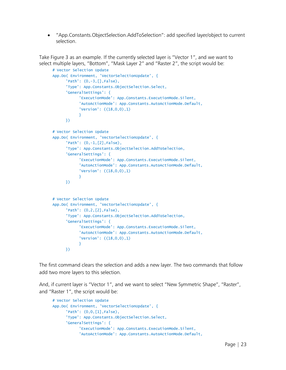"App.Constants.ObjectSelection.AddToSelection": add specified layer/object to current selection.

Take [Figure 3](#page-23-0) as an example. If the currently selected layer is "Vector 1", and we want to select multiple layers, "Bottom", "Mask Layer 2" and "Raster 2", the script would be:

```
# Vector Selection Update
App.Do( Environment, 'VectorSelectionUpdate', {
      'Path': (0,-3,[],False), 
      'Type': App.Constants.ObjectSelection.Select, 
      'GeneralSettings': {
            'ExecutionMode': App.Constants.ExecutionMode.Silent, 
            'AutoActionMode': App.Constants.AutoActionMode.Default, 
            'Version': ((18,0,0),1)
            }
     })
# Vector Selection Update
App.Do( Environment, 'VectorSelectionUpdate', {
      'Path': (0,-1,[2],False), 
      'Type': App.Constants.ObjectSelection.AddToSelection, 
      'GeneralSettings': {
            'ExecutionMode': App.Constants.ExecutionMode.Silent, 
            'AutoActionMode': App.Constants.AutoActionMode.Default, 
            'Version': ((18,0,0),1)
            }
     })
# Vector Selection Update
App.Do( Environment, 'VectorSelectionUpdate', {
      'Path': (0, 2, [2],False),
      'Type': App.Constants.ObjectSelection.AddToSelection, 
      'GeneralSettings': {
            'ExecutionMode': App.Constants.ExecutionMode.Silent, 
            'AutoActionMode': App.Constants.AutoActionMode.Default, 
            'Version': ((18,0,0),1)
            }
     })
```
The first command clears the selection and adds a new layer. The two commands that follow add two more layers to this selection.

And, if current layer is "Vector 1", and we want to select "New Symmetric Shape", "Raster", and "Raster 1", the script would be:

```
# Vector Selection Update
App.Do( Environment, 'VectorSelectionUpdate', {
      'Path': (0,0,[1],False), 
      'Type': App.Constants.ObjectSelection.Select, 
      'GeneralSettings': {
            'ExecutionMode': App.Constants.ExecutionMode.Silent, 
            'AutoActionMode': App.Constants.AutoActionMode.Default,
```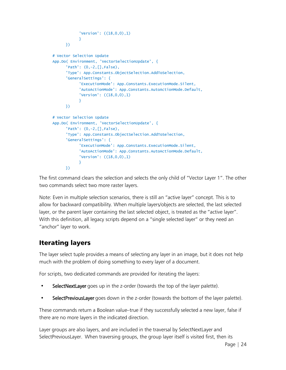```
'Version': ((18,0,0),1)
            }
     })
# Vector Selection Update
App.Do( Environment, 'VectorSelectionUpdate', {
      'Path': (0,-2,[],False), 
      'Type': App.Constants.ObjectSelection.AddToSelection, 
      'GeneralSettings': {
            'ExecutionMode': App.Constants.ExecutionMode.Silent, 
            'AutoActionMode': App.Constants.AutoActionMode.Default, 
            'Version': ((18,0,0),1)
           }
     })
# Vector Selection Update
App.Do( Environment, 'VectorSelectionUpdate', {
      'Path': (0,-2,[],False), 
      'Type': App.Constants.ObjectSelection.AddToSelection, 
      'GeneralSettings': {
            'ExecutionMode': App.Constants.ExecutionMode.Silent, 
            'AutoActionMode': App.Constants.AutoActionMode.Default, 
            'Version': ((18,0,0),1)
            }
      })
```
The first command clears the selection and selects the only child of "Vector Layer 1". The other two commands select two more raster layers.

Note: Even in multiple selection scenarios, there is still an "active layer" concept. This is to allow for backward compatibility. When multiple layers/objects are selected, the last selected layer, or the parent layer containing the last selected object, is treated as the "active layer". With this definition, all legacy scripts depend on a "single selected layer" or they need an "anchor" layer to work.

# <span id="page-26-0"></span>Iterating layers

The layer select tuple provides a means of selecting any layer in an image, but it does not help much with the problem of doing something to every layer of a document.

For scripts, two dedicated commands are provided for iterating the layers:

- SelectNextLayer goes up in the z-order (towards the top of the layer palette).
- SelectPreviousLayer goes down in the z-order (towards the bottom of the layer palette).

These commands return a Boolean value–true if they successfully selected a new layer, false if there are no more layers in the indicated direction.

Layer groups are also layers, and are included in the traversal by SelectNextLayer and SelectPreviousLayer. When traversing groups, the group layer itself is visited first, then its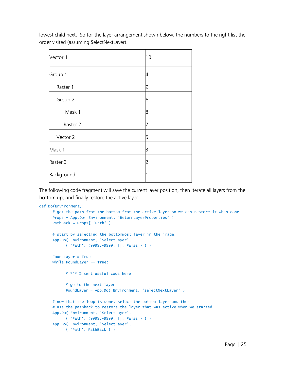lowest child next. So for the layer arrangement shown below, the numbers to the right list the order visited (assuming SelectNextLayer).

| Vector 1   | 10 |
|------------|----|
| Group 1    | 4  |
| Raster 1   | 9  |
| Group 2    | 6  |
| Mask 1     | 8  |
| Raster 2   |    |
| Vector 2   | 5  |
| Mask 1     | 3  |
| Raster 3   | 2  |
| Background |    |

The following code fragment will save the current layer position, then iterate all layers from the bottom up, and finally restore the active layer.

```
def Do(Environment):
     # get the path from the bottom from the active layer so we can restore it when done
     Props = App.Do( Environment, 'ReturnLayerProperties' )
     PathBack = Props[ 'Path' ]
     # start by selecting the bottommost layer in the image.
     App.Do( Environment, 'SelectLayer',
           { 'Path': (9999,-9999, [], False ) } )
     FoundLayer = True
     while FoundLayer == True:
           # *** Insert useful code here
           # go to the next layer
           FoundLayer = App.Do( Environment, 'SelectNextLayer' )
     # now that the loop is done, select the bottom layer and then
     # use the pathback to restore the layer that was active when we started
     App.Do( Environment, 'SelectLayer',
           { 'Path': (9999,-9999, [], False ) } )
     App.Do( Environment, 'SelectLayer',
           { 'Path': PathBack } )
```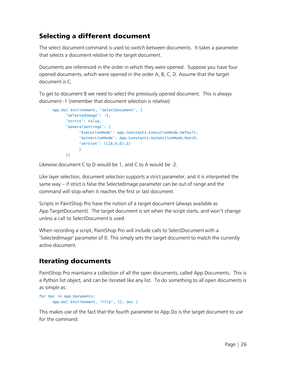# <span id="page-28-0"></span>Selecting a different document

The select document command is used to switch between documents. It takes a parameter that selects a document relative to the target document.

Documents are referenced in the order in which they were opened. Suppose you have four opened documents, which were opened in the order A, B, C, D. Assume that the target document is C.

To get to document B we need to select the previously opened document. This is always document -1 (remember that document selection is relative):

```
App.Do( Environment, 'SelectDocument', {
      'SelectedImage': -1,
      'Strict': False,
      'GeneralSettings': {
            'ExecutionMode': App.Constants.ExecutionMode.Default,
            'AutoActionMode': App.Constants.AutoActionMode.Match,
           'Version': ((18,0,0),1)
           }
      })
```
Likewise document C to D would be 1, and C to A would be -2.

Like layer selection, document selection supports a strict parameter, and it is interpreted the same way – if strict is false the SelectedImage parameter can be out of range and the command will stop when it reaches the first or last document.

Scripts in PaintShop Pro have the notion of a target document (always available as App.TargetDocument). The target document is set when the script starts, and won't change unless a call to SelectDocument is used.

When recording a script, PaintShop Pro will include calls to SelectDocument with a 'SelectedImage' parameter of 0. This simply sets the target document to match the currently active document.

# <span id="page-28-1"></span>Iterating documents

PaintShop Pro maintains a collection of all the open documents, called App.Documents. This is a Python list object, and can be iterated like any list. To do something to all open documents is as simple as:

```
for Doc in App.Documents:
     App.Do( Environment, 'Flip', {}, Doc )
```
This makes use of the fact that the fourth parameter to App.Do is the target document to use for the command.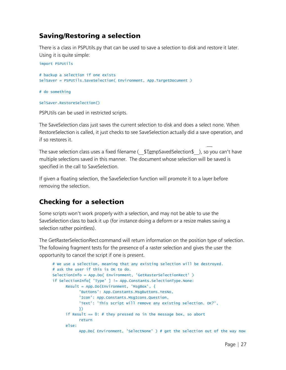### <span id="page-29-0"></span>Saving/Restoring a selection

There is a class in PSPUtils.py that can be used to save a selection to disk and restore it later. Using it is quite simple:

import PSPUtils # backup a selection if one exists SelSaver = PSPUtils.SaveSelection( Environment, App.TargetDocument )

# do something

```
SelSaver.RestoreSelection()
```
PSPUtils can be used in restricted scripts.

The SaveSelection class just saves the current selection to disk and does a select none. When RestoreSelection is called, it just checks to see SaveSelection actually did a save operation, and if so restores it.

The save selection class uses a fixed filename (  $$TempSavedSelection$$  ), so you can't have multiple selections saved in this manner. The document whose selection will be saved is specified in the call to SaveSelection.

If given a floating selection, the SaveSelection function will promote it to a layer before removing the selection.

# <span id="page-29-1"></span>Checking for a selection

Some scripts won't work properly with a selection, and may not be able to use the SaveSelection class to back it up (for instance doing a deform or a resize makes saving a selection rather pointless).

The GetRasterSelectionRect command will return information on the position type of selection. The following fragment tests for the presence of a raster selection and gives the user the opportunity to cancel the script if one is present.

```
# We use a selection, meaning that any existing selection will be destroyed.
# ask the user if this is OK to do.
SelectionInfo = App.Do( Environment, 'GetRasterSelectionRect' )
if SelectionInfo[ 'Type' ] != App.Constants.SelectionType.None:
     Result = App.Do(Environment, 'MsgBox', {
           'Buttons': App.Constants.MsgButtons.YesNo,
            'Icon': App.Constants.MsgIcons.Question,
            'Text': 'This script will remove any existing selection. OK?',
           })
     if Result == 0: # they pressed no in the message box, so abort
           return
     else:
           App.Do( Environment, 'SelectNone' ) # get the selection out of the way now
```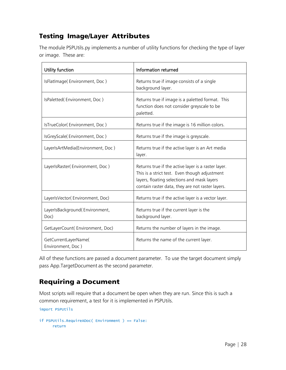# <span id="page-30-0"></span>Testing Image/Layer Attributes

The module PSPUtils.py implements a number of utility functions for checking the type of layer or image. These are:

| Utility function                          | Information returned                                                                                                                                                                                    |
|-------------------------------------------|---------------------------------------------------------------------------------------------------------------------------------------------------------------------------------------------------------|
| IsFlatImage(Environment, Doc)             | Returns true if image consists of a single<br>background layer.                                                                                                                                         |
| IsPaletted (Environment, Doc)             | Returns true if image is a paletted format. This<br>function does not consider greyscale to be<br>paletted.                                                                                             |
| IsTrueColor(Environment, Doc)             | Returns true if the image is 16 million colors.                                                                                                                                                         |
| IsGreyScale(Environment, Doc)             | Returns true if the image is greyscale.                                                                                                                                                                 |
| LayerIsArtMedia(Environment, Doc)         | Returns true if the active layer is an Art media<br>layer.                                                                                                                                              |
| LayerIsRaster(Environment, Doc)           | Returns true if the active layer is a raster layer.<br>This is a strict test. Even though adjustment<br>layers, floating selections and mask layers<br>contain raster data, they are not raster layers. |
| LayerIsVector(Environment, Doc)           | Returns true if the active layer is a vector layer.                                                                                                                                                     |
| LayerIsBackground(Environment,<br>Doc)    | Returns true if the current layer is the<br>background layer.                                                                                                                                           |
| GetLayerCount(Environment, Doc)           | Returns the number of layers in the image.                                                                                                                                                              |
| GetCurrentLayerName(<br>Environment, Doc) | Returns the name of the current layer.                                                                                                                                                                  |

All of these functions are passed a document parameter. To use the target document simply pass App.TargetDocument as the second parameter.

# <span id="page-30-1"></span>Requiring a Document

Most scripts will require that a document be open when they are run. Since this is such a common requirement, a test for it is implemented in PSPUtils.

```
import PSPUtils
```

```
if PSPUtils.RequireADoc( Environment ) == False:
     return
```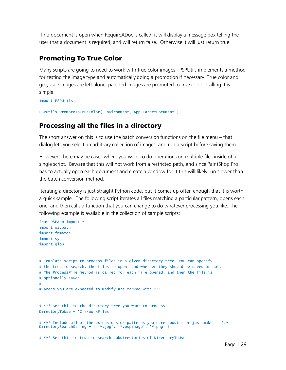If no document is open when RequireADoc is called, it will display a message box telling the user that a document is required, and will return false. Otherwise it will just return true.

### <span id="page-31-0"></span>Promoting To True Color

Many scripts are going to need to work with true color images. PSPUtils implements a method for testing the image type and automatically doing a promotion if necessary. True color and greyscale images are left alone, paletted images are promoted to true color. Calling it is simple:

import PSPUtils

```
PSPUtils.PromoteToTrueColor( Environment, App.TargetDocument )
```
### <span id="page-31-1"></span>Processing all the files in a directory

The short answer on this is to use the batch conversion functions on the file menu – that dialog lets you select an arbitrary collection of images, and run a script before saving them.

However, there may be cases where you want to do operations on multiple files inside of a single script. Beware that this will not work from a restricted path, and since PaintShop Pro has to actually open each document and create a window for it this will likely run slower than the batch conversion method.

Iterating a directory is just straight Python code, but it comes up often enough that it is worth a quick sample. The following script iterates all files matching a particular pattern, opens each one, and then calls a function that you can change to do whatever processing you like. The following example is available in the collection of sample scripts:

```
from PSPApp import *
import os.path
import fnmatch
import sys
import glob
# Template script to process files in a given directory tree. You can specify
# the tree to search, the files to open, and whether they should be saved or not.
# The ProcessFile method is called for each file opened, and then the file is
# optionally saved
#
# Areas you are expected to modify are marked with ***
# *** Set this to the directory tree you want to process
DirectoryToUse = 'C:\\WorkFiles'
# *** Include all of the extensions or patterns you care about - or just make it *.* 
DirectorySearchString = [ '*.jpg', '*.pspimage', '*.png' ]
# *** Set this to true to search subdirectories of DirectoryToUse
```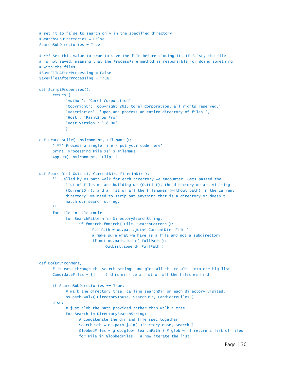```
# set it to false to search only in the specified directory
#SearchSubDirectories = False
SearchSubDirectories = True
# *** Set this value to true to save the file before closing it. If false, the file
# is not saved, meaning that the ProcessFile method is responsible for doing something
# with the files
#SaveFileAfterProcessing = False
SaveFilesAfterProcessing = True
def ScriptProperties():
      return {
            'Author': 'Corel Corporation',
            'Copyright': 'Copyright 2015 Corel Corporation, all rights reserved.',
            'Description': 'Open and process an entire directory of files.',
            'Host': 'PaintShop Pro'
            'Host Version': '18.00'
           }
def ProcessFile( Environment, FileName ):
      ' *** Process a single file - put your code here'
      print 'Processing File %s' % FileName
      App.Do( Environment, 'Flip' )
def SearchDir( OutList, CurrentDir, FilesInDir ):
      ''' Called by os.path.walk for each directory we encounter. Gets passed the 
            list of files we are building up (OutList), the directory we are visiting
            (CurrentDir), and a list of all the filenames (without path) in the current
            directory. We need to strip out anything that is a directory or doesn't
           match our search string.
      '''for File in FilesInDir:
            for SearchPattern in DirectorySearchString:
                  if fnmatch.fnmatch( File, SearchPattern ):
                       FullPath = os.path.join( CurrentDir, File )
                       # make sure what we have is a file and not a subdirectory
                       if not os.path.isdir( FullPath ):
                             OutList.append( FullPath )
def Do(Environment):
      # iterate through the search strings and glob all the results into one big list
      CandidateFiles = [1 + this with the <math>al</math> is a list of all the files we findif SearchSubDirectories == True:
            # walk the directory tree, calling SearchDir on each directory visited.
           os.path.walk( DirectoryToUse, SearchDir, CandidateFiles )
      else:
            # just glob the path provided rather than walk a tree
            for Search in DirectorySearchString:
                 # concatenate the dir and file spec together
                 SearchPath = os.path.join( DirectoryToUse, Search )
                 GlobbedFiles = qlob.qlob( SearchPath ) # qlob will return a list of files
                  for File in GlobbedFiles: # now iterate the list
```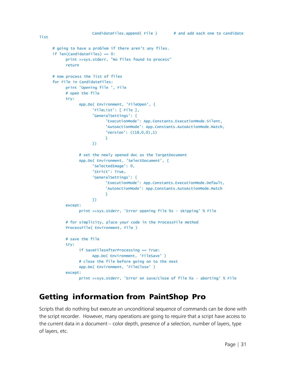```
# going to have a problem if there aren't any files.
if len(CandidateFiles) == 0:
      print >>sys.stderr, "No files found to process"
      return
# now process the list of files
for File in CandidateFiles:
      print 'Opening file ', File
      # open the file
      try:
           App.Do( Environment, 'FileOpen', {
                  'FileList': [ File ],
                  'GeneralSettings': {
                        'ExecutionMode': App.Constants.ExecutionMode.Silent,
                        'AutoActionMode': App.Constants.AutoActionMode.Match,
                        'Version': ((18,0,0),1)
                       }
                 })
            # set the newly opened doc as the TargetDocument
            App.Do( Environment, 'SelectDocument', {
                  'SelectedImage': 0,
                  'Strict': True,
                  'GeneralSettings': {
                        'ExecutionMode': App.Constants.ExecutionMode.Default,
                       'AutoActionMode': App.Constants.AutoActionMode.Match
                       }
                 })
      except:
           print >>sys.stderr, 'Error opening file %s - skipping' % File
      # for simplicity, place your code in the ProcessFile method
      ProcessFile( Environment, File )
      # save the file
      try:
           if SaveFilesAfterProcessing == True:
                 App.Do( Environment, 'FileSave' )
           # close the file before going on to the next
           App.Do( Environment, 'FileClose' )
      except:
           print >>sys.stderr, 'Error on save/close of file %s - aborting' % File
```
# <span id="page-33-0"></span>Getting information from PaintShop Pro

Scripts that do nothing but execute an unconditional sequence of commands can be done with the script recorder. However, many operations are going to require that a script have access to the current data in a document – color depth, presence of a selection, number of layers, type of layers, etc.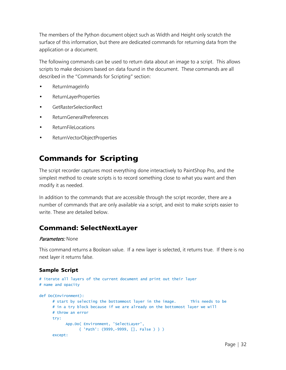The members of the Python document object such as Width and Height only scratch the surface of this information, but there are dedicated commands for returning data from the application or a document.

The following commands can be used to return data about an image to a script. This allows scripts to make decisions based on data found in the document. These commands are all described in the "Commands for Scripting" section:

- ReturnImageInfo
- ReturnLayerProperties
- GetRasterSelectionRect
- ReturnGeneralPreferences
- ReturnFileLocations
- ReturnVectorObjectProperties

# <span id="page-34-0"></span>Commands for Scripting

The script recorder captures most everything done interactively to PaintShop Pro, and the simplest method to create scripts is to record something close to what you want and then modify it as needed.

In addition to the commands that are accessible through the script recorder, there are a number of commands that are only available via a script, and exist to make scripts easier to write. These are detailed below.

### <span id="page-34-1"></span>Command: SelectNextLayer

#### Parameters: None

This command returns a Boolean value. If a new layer is selected, it returns true. If there is no next layer it returns false.

```
# iterate all layers of the current document and print out their layer
# name and opacity
def Do(Environment):
     # start by selecting the bottommost layer in the image. This needs to be
     # in a try block because if we are already on the bottomost layer we will
     # throw an error
     try:
           App.Do( Environment, 'SelectLayer',
                 { 'Path': (9999,-9999, [], False ) } )
     except:
```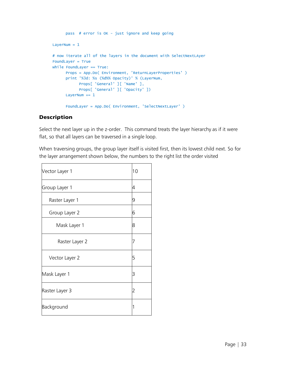```
pass # error is OK - just ignore and keep going
LayerNum = 1# now iterate all of the layers in the document with SelectNextLAyer
FoundLayer = True
while FoundLayer == True:
     Props = App.Do( Environment, 'ReturnLayerProperties' )
     print '%3d: %s (%d%% Opacity)' % (LayerNum,
           Props[ 'General' ][ 'Name' ],
           Props[ 'General' ][ 'Opacity' ])
     LayerNum += 1
     FoundLayer = App.Do( Environment, 'SelectNextLayer' )
```
Select the next layer up in the z-order. This command treats the layer hierarchy as if it were flat, so that all layers can be traversed in a single loop.

When traversing groups, the group layer itself is visited first, then its lowest child next. So for the layer arrangement shown below, the numbers to the right list the order visited

| Vector Layer 1 | 10 |
|----------------|----|
| Group Layer 1  | 4  |
| Raster Layer 1 | 9  |
| Group Layer 2  | 6  |
| Mask Layer 1   | 8  |
| Raster Layer 2 |    |
| Vector Layer 2 | 5  |
| Mask Layer 1   | 3  |
| Raster Layer 3 | 2  |
| Background     |    |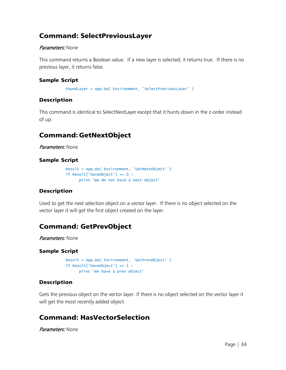### <span id="page-36-0"></span>Command: SelectPreviousLayer

#### Parameters: None

This command returns a Boolean value. If a new layer is selected, it returns true. If there is no previous layer, it returns false.

#### Sample Script

FoundLayer = App.Do( Environment, 'SelectPreviousLayer' )

#### Description

This command is identical to SelectNextLayer except that it hunts down in the z-order instead of up.

# <span id="page-36-1"></span>Command: GetNextObject

Parameters: None

#### Sample Script

```
Result = App.Do( Environment, 'GetNextObject' )
if Result['HaveObject'] == 0 :
     print 'We do not have a next object'
```
#### **Description**

Used to get the next selection object on a vector layer. If there is no object selected on the vector layer it will get the first object created on the layer.

# <span id="page-36-2"></span>Command: GetPrevObject

Parameters: None

#### Sample Script

```
Result = App.Do( Environment, 'GetPrevObject' )
if Result['HaveObject'] == 1 :
     print 'We have a prev object'
```
#### Description

Gets the previous object on the vector layer. If there is no object selected on the vector layer it will get the most recently added object.

### <span id="page-36-3"></span>Command: HasVectorSelection

Parameters: None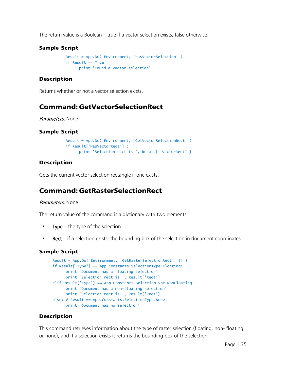The return value is a Boolean – true if a vector selection exists, false otherwise.

#### Sample Script

```
Result = App.Do( Environment, 'HasVectorSelection' )
if Result == True:
      print 'Found a vector selection'
```
#### **Description**

Returns whether or not a vector selection exists.

### <span id="page-37-0"></span>Command: GetVectorSelectionRect

#### Parameters: None

#### Sample Script

```
Result = App.Do( Environment, 'GetVectorSelectionRect' )
if Result['HasVectorRect'] :
     print 'Selection rect is ', Result[ 'VectorRect' ]
```
#### Description

Gets the current vector selection rectangle if one exists.

### <span id="page-37-1"></span>Command: GetRasterSelectionRect

#### Parameters: None

The return value of the command is a dictionary with two elements:

- Type the type of the selection
- Rect if a selection exists, the bounding box of the selection in document coordinates

#### Sample Script

```
Result = App.Do( Environment, 'GetRasterSelectionRect', {} )
if Result['Type'] == App.Constants.SelectionType.Floating:
     print 'Document has a floating selection'
     print 'Selection rect is ', Result['Rect']
elif Result['Type'] == App.Constants.SelectionType.NonFloating:
     print 'Document has a non-floating selection'
     print 'Selection rect is ', Result['Rect']
else: # Result == App.Constants.SelectionType.None:
     print 'Document has no selection'
```
#### Description

This command retrieves information about the type of raster selection (floating, non- floating or none), and if a selection exists it returns the bounding box of the selection.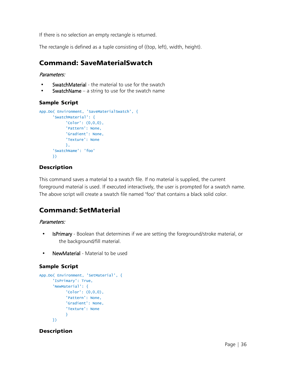If there is no selection an empty rectangle is returned.

The rectangle is defined as a tuple consisting of ((top, left), width, height).

### <span id="page-38-0"></span>Command: SaveMaterialSwatch

#### Parameters:

- SwatchMaterial the material to use for the swatch
- **SwatchName** a string to use for the swatch name

#### Sample Script

```
App.Do( Environment, 'SaveMaterialSwatch', {
      'SwatchMaterial': {
            'Color': (0,0,0),
            'Pattern': None,
            'Gradient': None,
           'Texture': None
           },
      'SwatchName': 'foo'
      })
```
#### Description

This command saves a material to a swatch file. If no material is supplied, the current foreground material is used. If executed interactively, the user is prompted for a swatch name. The above script will create a swatch file named "foo" that contains a black solid color.

# <span id="page-38-1"></span>Command: SetMaterial

#### Parameters:

- IsPrimary Boolean that determines if we are setting the foreground/stroke material, or the background/fill material.
- NewMaterial Material to be used

#### Sample Script

```
App.Do( Environment, 'SetMaterial', {
      'IsPrimary': True,
      'NewMaterial': {
           'Color': (0,0,0),
           'Pattern': None,
            'Gradient': None,
           'Texture': None
           }
     })
```
#### Description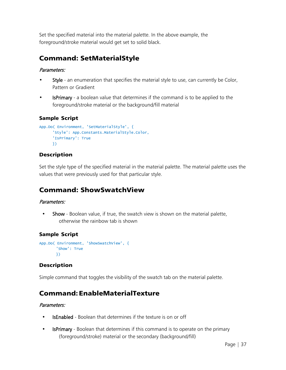Set the specified material into the material palette. In the above example, the foreground/stroke material would get set to solid black.

# <span id="page-39-0"></span>Command: SetMaterialStyle

#### Parameters:

- Style an enumeration that specifies the material style to use, can currently be Color, Pattern or Gradient
- **IsPrimary** a boolean value that determines if the command is to be applied to the foreground/stroke material or the background/fill material

#### Sample Script

```
App.Do( Environment, 'SetMaterialStyle', {
      'Style': App.Constants.MaterialStyle.Color,
      'IsPrimary': True
     })
```
#### Description

Set the style type of the specified material in the material palette. The material palette uses the values that were previously used for that particular style.

# <span id="page-39-1"></span>Command: ShowSwatchView

#### Parameters:

• Show - Boolean value, if true, the swatch view is shown on the material palette, otherwise the rainbow tab is shown

### Sample Script

```
App.Do( Environment, 'ShowSwatchView', {
       'Show': True
       })
```
### **Description**

Simple command that toggles the visibility of the swatch tab on the material palette.

# <span id="page-39-2"></span>Command:EnableMaterialTexture

#### Parameters:

- IsEnabled Boolean that determines if the texture is on or off
- IsPrimary Boolean that determines if this command is to operate on the primary (foreground/stroke) material or the secondary (background/fill)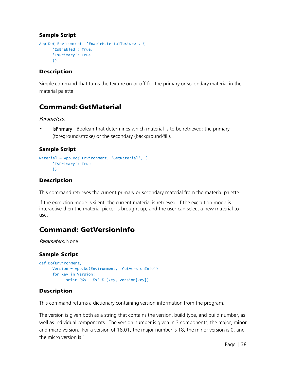#### Sample Script

```
App.Do( Environment, 'EnableMaterialTexture', {
      'IsEnabled': True,
      'IsPrimary': True
     })
```
#### Description

Simple command that turns the texture on or off for the primary or secondary material in the material palette.

### <span id="page-40-0"></span>Command: GetMaterial

#### Parameters:

• IsPrimary - Boolean that determines which material is to be retrieved; the primary (foreground/stroke) or the secondary (background/fill).

#### Sample Script

```
Material = App.Do( Environment, 'GetMaterial', {
      'IsPrimary': True
     })
```
#### Description

This command retrieves the current primary or secondary material from the material palette.

If the execution mode is silent, the current material is retrieved. If the execution mode is interactive then the material picker is brought up, and the user can select a new material to use.

# <span id="page-40-1"></span>Command: GetVersionInfo

#### Parameters: None

#### Sample Script

```
def Do(Environment):
     Version = App.Do(Environment, 'GetVersionInfo')
     for key in Version:
           print '%s - %s' % (key, Version[key])
```
#### Description

This command returns a dictionary containing version information from the program.

The version is given both as a string that contains the version, build type, and build number, as well as individual components. The version number is given in 3 components, the major, minor and micro version. For a version of 18.01, the major number is 18, the minor version is 0, and the micro version is 1.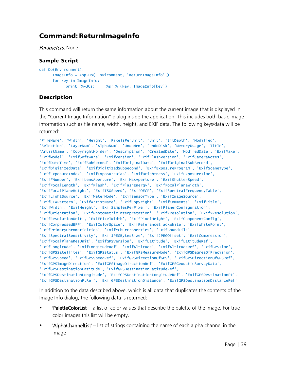### <span id="page-41-0"></span>Command: ReturnImageInfo

Parameters: None

#### Sample Script

```
def Do(Environment):
     ImageInfo = App.Do( Environment, 'ReturnImageInfo',)
     for key in ImageInfo:
           print '%-30s: %s' % (key, ImageInfo[key])
```
#### Description

This command will return the same information about the current image that is displayed in the "Current Image Information" dialog inside the application. This includes both basic image information such as file name, width, height, and EXIF data. The following keys/data will be returned:

```
'FileName', 'Width', 'Height', 'PixelsPerUnit', 'Unit', 'BitDepth', 'Modified',
'Selection', 'LayerNum', 'AlphaNum', 'UndoMem', 'UndoDisk', 'MemoryUsage', 'Title',
'ArtistName', 'CopyrightHolder', 'Description', 'CreatedDate', 'ModifedDate', 'ExifMake',
'ExifModel', 'ExifSoftware', 'ExifVersion', 'ExifFlashVersion', 'ExifCameraNotes',
'ExifDateTime', 'ExifSubSecond', 'ExifOriginalDate', 'ExifOriginalSubSecond',
'ExifDigitizedDate', 'ExifDigitizedSubSecond', 'ExifExposureProgram', 'ExifSceneType',
'ExifExposureIndex', 'ExifExposureBias', 'ExifBrightness', 'ExifExposureTime',
'ExifFNumber', 'ExifLensAperture', 'ExifMaxAperture', 'ExifShutterSpeed',
'ExifFocalLength', 'ExifFlash', 'ExifFlashEnergy', 'ExifFocalPlaneWidth',
'ExifFocalPlaneHeight', 'ExifISOSpeed', 'ExifOECF', 'ExifSpectralFrequencyTable',
'ExifLightSource', 'ExifMeterMode', 'ExifSensorType', 'ExifImageSource',
'ExifCFAPattern', 'ExifArtistName', 'ExifCopyright', 'ExifComments', 'ExifTitle',
'ExifWidth', 'ExifHeight', 'ExifSamplesPerPixel', 'ExifPlanerConfiguration',
'ExifOrientation', 'ExifPhotometricInterpretation', 'ExifXResolution', 'ExifYResolution',
'ExifResolutionUnit', 'ExifPixelWidth', 'ExifPixelHeight', 'ExifComponentConfig',
'ExifCompressedBPP', 'ExifColorSpace', 'ExifReferenceBlackWhite', 'ExifWhitePoint',
'ExifPrimaryChromaticities', 'ExifYCbCrProperties', 'ExifSoundFile',
'ExifSpectralSensitivity', 'ExifJPEGBytesSize', 'ExifJPEGOffset', 'ExifCompression',
'ExifFocalPlaneResUnit', 'ExifGPSVersion', 'ExifLatitude', 'ExifLatitudeRef',
'ExifLongitude', 'ExifLongitudeRef', 'ExifAltitude', 'ExifAltitudeRef', 'ExifGPSTime',
'ExifGPSSatellites', 'ExifGPSStatus', 'ExifGPSMeasureMode', 'ExifGPSDegreeOfPrecision',
'ExifGPSSpeed', 'ExifGPSSpeedRef', 'ExifGPSDirectionOfGPS', 'ExifGPSDirectionOfGPSRef',
'ExifGPSImageDirection', 'ExifGPSImageDirectionRef', 'ExifGPSGeodeticSurveyData',
'ExifGPSDestinationLatitude', 'ExifGPSDestinationLatitudeRef',
'ExifGPSDestinationLongitude', 'ExifGPSDestinationLongitudeRef', 'ExifGPSDestinationPt',
'ExifGPSDestinationPtRef', 'ExifGPSDestinationDistance', 'ExifGPSDestinationDistanceRef'
```
In addition to the data described above, which is all data that duplicates the contents of the Image Info dialog, the following data is returned:

- **'PaletteColorList'** a list of color values that describe the palette of the image. For true color images this list will be empty.
- 'AlphaChannelList' list of strings containing the name of each alpha channel in the image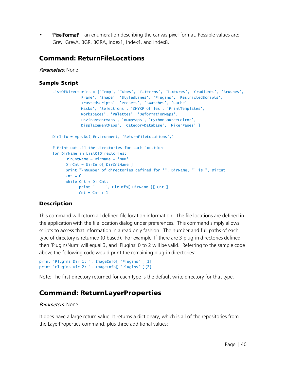• 'PixelFormat' – an enumeration describing the canvas pixel format. Possible values are: Grey, GreyA, BGR, BGRA, Index1, Index4, and Index8.

### <span id="page-42-0"></span>Command: ReturnFileLocations

Parameters: None

#### Sample Script

```
ListOfDirectories = ['Temp', 'Tubes', 'Patterns', 'Textures', 'Gradients', 'Brushes',
            'Frame', 'Shape', 'StyledLines', 'Plugins', 'RestrictedScripts',
            'TrustedScripts', 'Presets', 'Swatches', 'Cache',
            'Masks', 'Selections', 'CMYKProfiles', 'PrintTemplates',
            'Workspaces', 'Palettes', 'DeformationMaps',
            'EnvironmentMaps', 'BumpMaps', 'PythonSourceEditor',
            'DisplacementMaps', 'CategoryDatabase', 'MixerPages' ]
DirInfo = App.Do( Environment, 'ReturnFileLocations',)
# Print out all the directories for each location
for DirName in ListOfDirectories:
     DirCntName = DirName + 'Num'
     DirCnt = DirInfo[ DirCntName ]
     print "\nNumber of directories defined for '", DirName, "' is ", DirCnt
     \text{Cnt} = 0while Cnt < DirCnt:
           print " ", DirInfo[ DirName ][ Cnt ]
           \text{Cnt} = \text{Cnt} + 1
```
#### **Description**

This command will return all defined file location information. The file locations are defined in the application with the file location dialog under preferences. This command simply allows scripts to access that information in a read only fashion. The number and full paths of each type of directory is returned (0 based). For example: If there are 3 plug-in directories defined then 'PluginsNum' will equal 3, and 'Plugins' 0 to 2 will be valid. Referring to the sample code above the following code would print the remaining plug-in directories:

```
print 'Plugins Dir 1: ', ImageInfo[ 'Plugins' ][1]
print 'Plugins Dir 2: ', ImageInfo[ 'Plugins' ][2]
```
Note: The first directory returned for each type is the default write directory for that type.

### <span id="page-42-1"></span>Command: ReturnLayerProperties

#### Parameters: None

It does have a large return value. It returns a dictionary, which is all of the repositories from the LayerProperties command, plus three additional values: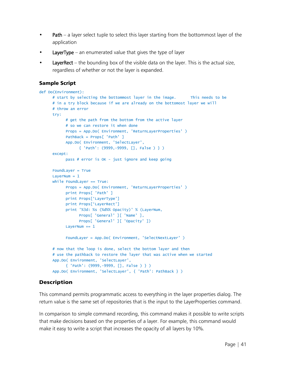- Path a layer select tuple to select this layer starting from the bottommost layer of the application
- LayerType an enumerated value that gives the type of layer
- LayerRect the bounding box of the visible data on the layer. This is the actual size, regardless of whether or not the layer is expanded.

#### Sample Script

```
def Do(Environment):
     # start by selecting the bottommost layer in the image. This needs to be
     # in a try block because if we are already on the bottomost layer we will
     # throw an error
     try:
           # get the path from the bottom from the active layer
           # so we can restore it when done
           Props = App.Do( Environment, 'ReturnLayerProperties' )
           PathBack = Props[ 'Path' ]
           App.Do( Environment, 'SelectLayer',
                 { 'Path': (9999,-9999, [], False ) } )
     except:
           pass # error is OK - just ignore and keep going
     FoundLayer = True
     LayerNum = 1while FoundLayer == True:
           Props = App.Do( Environment, 'ReturnLayerProperties' )
           print Props[ 'Path' ]
           print Props['LayerType']
           print Props['LayerRect']
           print '%3d: %s (%d%% Opacity)' % (LayerNum,
                 Props[ 'General' ][ 'Name' ],
                 Props[ 'General' ][ 'Opacity' ])
           LayerNum += 1FoundLayer = App.Do( Environment, 'SelectNextLayer' )
     # now that the loop is done, select the bottom layer and then
     # use the pathback to restore the layer that was active when we started
     App.Do( Environment, 'SelectLayer',
           { 'Path': (9999,-9999, [], False ) } )
     App.Do( Environment, 'SelectLayer', { 'Path': PathBack } )
```
#### Description

This command permits programmatic access to everything in the layer properties dialog. The return value is the same set of repositories that is the input to the LayerProperties command.

In comparison to simple command recording, this command makes it possible to write scripts that make decisions based on the properties of a layer. For example, this command would make it easy to write a script that increases the opacity of all layers by 10%.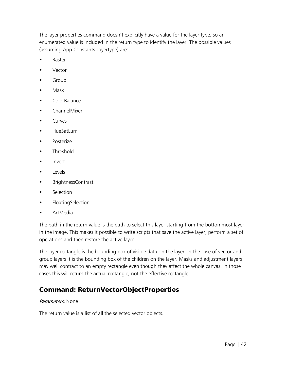The layer properties command doesn't explicitly have a value for the layer type, so an enumerated value is included in the return type to identify the layer. The possible values (assuming App.Constants.Layertype) are:

- **Raster**
- **Vector**
- **Group**
- Mask
- ColorBalance
- ChannelMixer
- Curves
- HueSatLum
- Posterize
- Threshold
- Invert
- Levels
- BrightnessContrast
- Selection
- FloatingSelection
- ArtMedia

The path in the return value is the path to select this layer starting from the bottommost layer in the image. This makes it possible to write scripts that save the active layer, perform a set of operations and then restore the active layer.

The layer rectangle is the bounding box of visible data on the layer. In the case of vector and group layers it is the bounding box of the children on the layer. Masks and adjustment layers may well contract to an empty rectangle even though they affect the whole canvas. In those cases this will return the actual rectangle, not the effective rectangle.

### <span id="page-44-0"></span>Command: ReturnVectorObjectProperties

#### Parameters: None

The return value is a list of all the selected vector objects.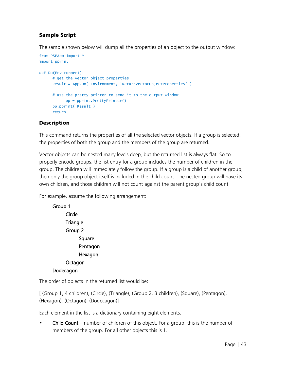#### Sample Script

The sample shown below will dump all the properties of an object to the output window:

```
from PSPApp import *
import pprint
def Do(Environment):
      # get the vector object properties
      Result = App.Do( Environment, 'ReturnVectorObjectProperties' )
      # use the pretty printer to send it to the output window
            pp = pprint.PrettyPrinter()
      pp.pprint( Result )
      return
```
#### Description

This command returns the properties of all the selected vector objects. If a group is selected, the properties of both the group and the members of the group are returned.

Vector objects can be nested many levels deep, but the returned list is always flat. So to properly encode groups, the list entry for a group includes the number of children in the group. The children will immediately follow the group. If a group is a child of another group, then only the group object itself is included in the child count. The nested group will have its own children, and those children will not count against the parent group's child count.

For example, assume the following arrangement:



The order of objects in the returned list would be:

[ (Group 1, 4 children), (Circle), (Triangle), (Group 2, 3 children), (Square), (Pentagon), (Hexagon), (Octagon), (Dodecagon)]

Each element in the list is a dictionary containing eight elements.

**Child Count** – number of children of this object. For a group, this is the number of members of the group. For all other objects this is 1.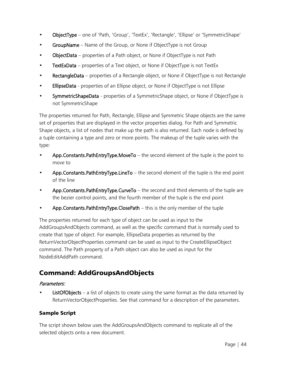- ObjectType one of 'Path, 'Group', 'TextEx', 'Rectangle', 'Ellipse' or 'SymmetricShape'
- GroupName Name of the Group, or None if ObjectType is not Group
- ObjectData properties of a Path object, or None if ObjectType is not Path
- TextExData properties of a Text object, or None if ObjectType is not TextEx
- RectangleData properties of a Rectangle object, or None if ObjectType is not Rectangle
- EllipseData properties of an Ellipse object, or None if ObjectType is not Ellipse
- SymmetricShapeData properties of a SymmetricShape object, or None if ObjectType is not SymmetricShape

The properties returned for Path, Rectangle, Ellipse and Symmetric Shape objects are the same set of properties that are displayed in the vector properties dialog. For Path and Symmetric Shape objects, a list of nodes that make up the path is also returned. Each node is defined by a tuple containing a type and zero or more points. The makeup of the tuple varies with the type:

- App. Constants. PathEntryType. MoveTo  $-$  the second element of the tuple is the point to move to
- App. Constants. PathEntryType. LineTo  $-$  the second element of the tuple is the end point of the line
- App.Constants.PathEntryType.CurveTo the second and third elements of the tuple are the bezier control points, and the fourth member of the tuple is the end point
- App.Constants.PathEntryType.ClosePath this is the only member of the tuple

The properties returned for each type of object can be used as input to the AddGroupsAndObjects command, as well as the specific command that is normally used to create that type of object. For example, EllipseData properties as returned by the ReturnVectorObjectProperties command can be used as input to the CreateEllipseObject command. The Path property of a Path object can also be used as input for the NodeEditAddPath command.

# <span id="page-46-0"></span>Command: AddGroupsAndObjects

#### Parameters:

**ListOfObjects** – a list of objects to create using the same format as the data returned by ReturnVectorObjectProperties. See that command for a description of the parameters.

#### Sample Script

The script shown below uses the AddGroupsAndObjects command to replicate all of the selected objects onto a new document.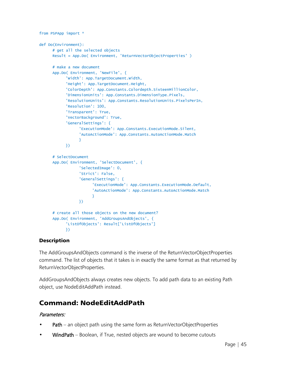```
from PSPApp import *
def Do(Environment):
      # get all the selected objects
      Result = App.Do( Environment, 'ReturnVectorObjectProperties')
      # make a new document
      App.Do( Environment, 'NewFile', {
            'Width': App.TargetDocument.Width,
            'Height': App.TargetDocument.Height,
            'ColorDepth': App.Constants.Colordepth.SixteenMillionColor,
            'DimensionUnits': App.Constants.DimensionType.Pixels,
            'ResolutionUnits': App.Constants.ResolutionUnits.PixelsPerIn,
            'Resolution': 100,
            'Transparent': True,
            'VectorBackground': True,
            'GeneralSettings': {
                  'ExecutionMode': App.Constants.ExecutionMode.Silent,
                  'AutoActionMode': App.Constants.AutoActionMode.Match
                 }
           })
      # SelectDocument
      App.Do( Environment, 'SelectDocument', {
                  'SelectedImage': 0,
                  'Strict': False,
                  'GeneralSettings': {
                        'ExecutionMode': App.Constants.ExecutionMode.Default,
                        'AutoActionMode': App.Constants.AutoActionMode.Match
                       }
                 })
      # create all those objects on the new document?
      App.Do( Environment, 'AddGroupsAndObjects', {
            'ListOfObjects': Result['ListOfObjects']
           })
```
The AddGroupsAndObjects command is the inverse of the ReturnVectorObjectProperties command. The list of objects that it takes is in exactly the same format as that returned by ReturnVectorObjectProperties.

AddGroupsAndObjects always creates new objects. To add path data to an existing Path object, use NodeEditAddPath instead.

# <span id="page-47-0"></span>Command: NodeEditAddPath

#### Parameters:

- Path an object path using the same form as ReturnVectorObjectProperties
- WindPath Boolean, if True, nested objects are wound to become cutouts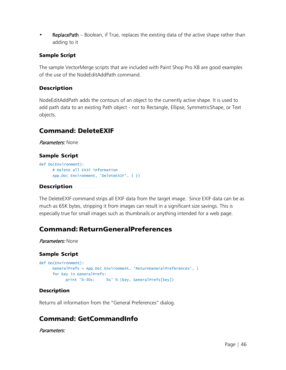• ReplacePath – Boolean, if True, replaces the existing data of the active shape rather than adding to it

#### Sample Script

The sample VectorMerge scripts that are included with Paint Shop Pro X8 are good examples of the use of the NodeEditAddPath command.

#### **Description**

NodeEditAddPath adds the contours of an object to the currently active shape. It is used to add path data to an existing Path object - not to Rectangle, Ellipse, SymmetricShape, or Text objects.

### <span id="page-48-0"></span>Command: DeleteEXIF

Parameters: None

#### Sample Script

```
def Do(Environment):
      # Delete all EXIF information
     App.Do( Environment, 'DeleteEXIF', { })
```
#### Description

The DeleteEXIF command strips all EXIF data from the target image. Since EXIF data can be as much as 65K bytes, stripping it from images can result in a significant size savings. This is especially true for small images such as thumbnails or anything intended for a web page.

### <span id="page-48-1"></span>Command:ReturnGeneralPreferences

Parameters: None

#### Sample Script

```
def Do(Environment):
     GeneralPrefs = App.Do( Environment, 'ReturnGeneralPreferences', )
     for key in GeneralPrefs:
           print '%-30s: %s' % (key, GeneralPrefs[key])
```
#### Description

Returns all information from the "General Preferences" dialog.

### <span id="page-48-2"></span>Command: GetCommandInfo

Parameters: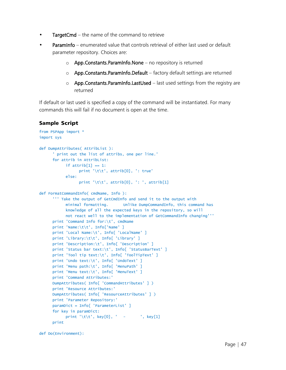- TargetCmd the name of the command to retrieve
- ParamInfo enumerated value that controls retrieval of either last used or default parameter repository. Choices are:
	- $\circ$  App. Constants. ParamInfo. None no repository is returned
	- o App.Constants.ParamInfo.Default factory default settings are returned
	- $\circ$  App. Constants. Paraminfo. Last Used last used settings from the registry are returned

If default or last used is specified a copy of the command will be instantiated. For many commands this will fail if no document is open at the time.

```
from PSPApp import *
import sys
def DumpAttributes( AttribList ):
      ' print out the list of attribs, one per line.'
     for attrib in AttribList:
           if atrich[1] == 1:
                 print '\t\t', attrib[0], ': true'
           else:
                 print '\t\t', attrib[0], ': ', attrib[1]
def FormatCommandInfo( cmdName, Info ):
      ''' Take the output of GetCmdInfo and send it to the output with
           minimal formatting. Unlike DumpCommandInfo, this command has
           knowledge of all the expected keys in the repository, so will
           not react well to the implementation of GetCommandInfo changing'''
     print 'Command Info for:\t', cmdName
     print 'Name:\t\t', Info['Name' ]
     print 'Local Name:\t', Info[ 'LocalName' ]
     print 'Library:\t\t', Info[ 'Library' ]
     print 'Description:\t', Info[ 'Description' ]
     print 'Status bar text:\t', Info[ 'StatusBarText' ]
     print 'Tool tip text:\t', Info[ 'ToolTipText' ]
     print 'Undo text:\t', Info[ 'UndoText' ]
     print 'Menu path:\t', Info[ 'MenuPath' ]
     print 'Menu text:\t', Info[ 'MenuText' ]
     print 'Command Attributes:'
     DumpAttributes( Info[ 'CommandAttributes' ] )
     print 'Resource Attributes:'
     DumpAttributes( Info[ 'ResourceAttributes' ] )
     print 'Parameter Repository:'
     paramDict = Info[ 'ParameterList' ]
     for key in paramDict:
           print '\t\t', key[0], ' - ', key[1]
     print
```

```
def Do(Environment):
```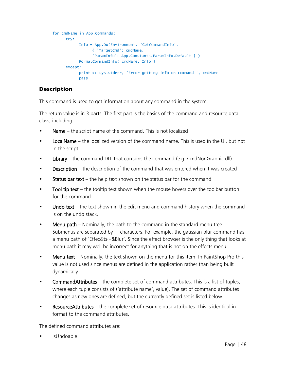```
for cmdName in App.Commands:
     try:
           Info = App.Do(Environment, 'GetCommandInfo',
                 { 'TargetCmd': cmdName,
                 'ParamInfo': App.Constants.ParamInfo.Default } )
           FormatCommandInfo( cmdName, Info )
     except:
           print >> sys.stderr, 'Error getting info on command ', cmdName
           pass
```
This command is used to get information about any command in the system.

The return value is in 3 parts. The first part is the basics of the command and resource data class, including:

- Name the script name of the command. This is not localized
- LocalName the localized version of the command name. This is used in the UI, but not in the script.
- Library the command DLL that contains the command (e.g. CmdNonGraphic.dll)
- Description the description of the command that was entered when it was created
- **Status bar text** the help text shown on the status bar for the command
- Tool tip text  $-$  the tooltip text shown when the mouse hovers over the toolbar button for the command
- Undo text the text shown in the edit menu and command history when the command is on the undo stack.
- Menu path Nominally, the path to the command in the standard menu tree. Submenus are separated by  $\sim$  characters. For example, the gaussian blur command has a menu path of 'Effec&ts~&Blur'. Since the effect browser is the only thing that looks at menu path it may well be incorrect for anything that is not on the effects menu.
- Menu text Nominally, the text shown on the menu for this item. In PaintShop Pro this value is not used since menus are defined in the application rather than being built dynamically.
- CommandAttributes the complete set of command attributes. This is a list of tuples, where each tuple consists of ('attribute name', value). The set of command attributes changes as new ones are defined, but the currently defined set is listed below.
- ResourceAttributes the complete set of resource data attributes. This is identical in format to the command attributes.

The defined command attributes are:

• IsUndoable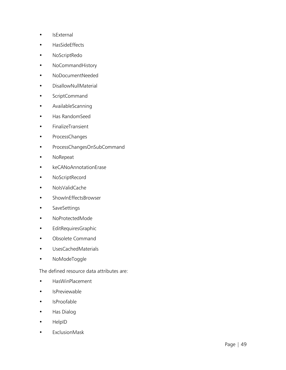- IsExternal
- HasSideEffects
- NoScriptRedo
- NoCommandHistory
- NoDocumentNeeded
- DisallowNullMaterial
- ScriptCommand
- AvailableScanning
- Has RandomSeed
- FinalizeTransient
- ProcessChanges
- ProcessChangesOnSubCommand
- NoRepeat
- keCANoAnnotationErase
- NoScriptRecord
- NoIsValidCache
- ShowInEffectsBrowser
- SaveSettings
- NoProtectedMode
- EditRequiresGraphic
- Obsolete Command
- UsesCachedMaterials
- NoModeToggle

The defined resource data attributes are:

- HasWinPlacement
- IsPreviewable
- IsProofable
- Has Dialog
- HelpID
- ExclusionMask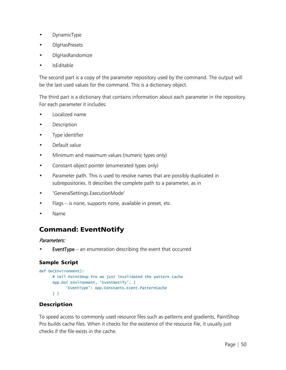- DynamicType
- DlgHasPresets
- DlgHasRandomize
- IsEditable

The second part is a copy of the parameter repository used by the command. The output will be the last used values for the command. This is a dictionary object.

The third part is a dictionary that contains information about each parameter in the repository. For each parameter it includes:

- Localized name
- **Description**
- Type identifier
- Default value
- Minimum and maximum values (numeric types only)
- Constant object pointer (enumerated types only)
- Parameter path. This is used to resolve names that are possibly duplicated in subrepositories. It describes the complete path to a parameter, as in
- 'GeneralSettings.ExecutionMode'
- $Flags is none, supports none, available in preset, etc.$
- Name

# <span id="page-52-0"></span>Command: EventNotify

#### Parameters:

**EventType** – an enumeration describing the event that occurred

#### Sample Script

```
def Do(Environment):
     # tell PaintShop Pro we just invalidated the pattern cache
     App.Do( Environment, 'EventNotify', {
            'EventType': App.Constants.Event.PatternCache
     } )
```
#### Description

To speed access to commonly used resource files such as patterns and gradients, PaintShop Pro builds cache files. When it checks for the existence of the resource file, it usually just checks if the file exists in the cache.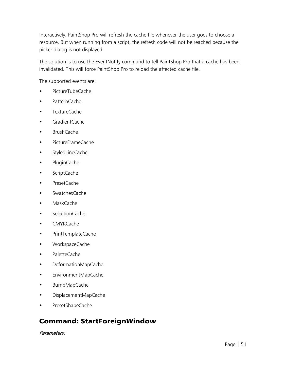Interactively, PaintShop Pro will refresh the cache file whenever the user goes to choose a resource. But when running from a script, the refresh code will not be reached because the picker dialog is not displayed.

The solution is to use the EventNotify command to tell PaintShop Pro that a cache has been invalidated. This will force PaintShop Pro to reload the affected cache file.

The supported events are:

- PictureTubeCache
- PatternCache
- TextureCache
- GradientCache
- BrushCache
- PictureFrameCache
- StyledLineCache
- PluginCache
- ScriptCache
- PresetCache
- SwatchesCache
- MaskCache
- SelectionCache
- CMYKCache
- PrintTemplateCache
- WorkspaceCache
- PaletteCache
- DeformationMapCache
- EnvironmentMapCache
- BumpMapCache
- DisplacementMapCache
- PresetShapeCache

# <span id="page-53-0"></span>Command: StartForeignWindow

Parameters: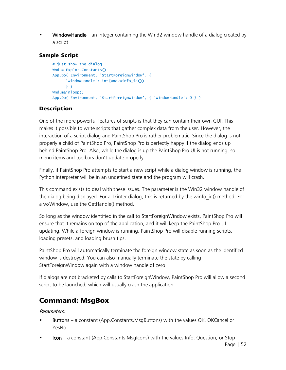• WindowHandle – an integer containing the Win32 window handle of a dialog created by a script

#### Sample Script

```
# just show the dialog
Wnd = ExploreConstants()
App.Do( Environment, 'StartForeignWindow', {
      'WindowHandle': int(Wnd.winfo_id())
     } )
Wnd.mainloop()
App.Do( Environment, 'StartForeignWindow', { 'WindowHandle': 0 } )
```
#### **Description**

One of the more powerful features of scripts is that they can contain their own GUI. This makes it possible to write scripts that gather complex data from the user. However, the interaction of a script dialog and PaintShop Pro is rather problematic. Since the dialog is not properly a child of PaintShop Pro, PaintShop Pro is perfectly happy if the dialog ends up behind PaintShop Pro. Also, while the dialog is up the PaintShop Pro UI is not running, so menu items and toolbars don't update properly.

Finally, if PaintShop Pro attempts to start a new script while a dialog window is running, the Python interpreter will be in an undefined state and the program will crash.

This command exists to deal with these issues. The parameter is the Win32 window handle of the dialog being displayed. For a Tkinter dialog, this is returned by the winfo\_id() method. For a wxWindow, use the GetHandle() method.

So long as the window identified in the call to StartForeignWindow exists, PaintShop Pro will ensure that it remains on top of the application, and it will keep the PaintShop Pro UI updating. While a foreign window is running, PaintShop Pro will disable running scripts, loading presets, and loading brush tips.

PaintShop Pro will automatically terminate the foreign window state as soon as the identified window is destroyed. You can also manually terminate the state by calling StartForeignWindow again with a window handle of zero.

If dialogs are not bracketed by calls to StartForeignWindow, PaintShop Pro will allow a second script to be launched, which will usually crash the application.

### <span id="page-54-0"></span>Command: MsgBox

#### Parameters:

- Buttons a constant (App.Constants.MsgButtons) with the values OK, OKCancel or YesNo
- $$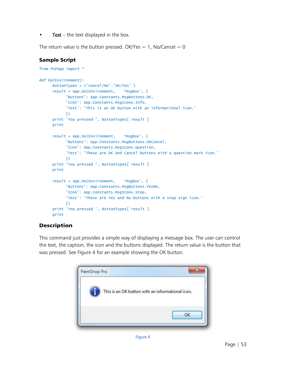• Text – the text displayed in the box.

The return value is the button pressed. OK/Yes = 1, No/Cancel = 0

#### Sample Script

```
from PSPApp import *
def Do(Environment):
     ButtonTypes = ('Cancel/No','OK/Yes' )
     result = App.Do(Environment, 'MsgBox', {
            'Buttons': App.Constants.MsgButtons.OK,
           'Icon': App.Constants.MsgIcons.Info,
           'Text': 'This is an OK button with an informational icon.'
           })
     print 'You pressed ', ButtonTypes[ result ]
     print
     result = App.Do(Environment, 'MsgBox', {
           'Buttons': App.Constants.MsgButtons.OKCancel,
           'Icon': App.Constants.MsgIcons.Question,
           'Text': 'These are OK and Cancel buttons with a question mark icon.'
           })
     print 'You pressed ', ButtonTypes[ result ]
     print
     result = App.Do(Environment, 'MsgBox', {
            'Buttons': App.Constants.MsgButtons.YesNo,
            'Icon': App.Constants.MsgIcons.Stop,
           'Text': 'These are Yes and No buttons with a stop sign icon.'
           })
     print 'You pressed ', ButtonTypes[ result ]
     print
```
#### Description

This command just provides a simple way of displaying a message box. The user can control the text, the caption, the icon and the buttons displayed. The return value is the button that was pressed. See [Figure 4](#page-55-0) for an example showing the OK button.

<span id="page-55-0"></span>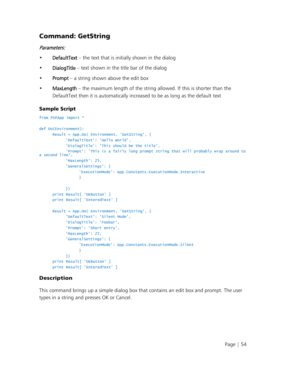### <span id="page-56-0"></span>Command: GetString

#### Parameters:

- **DefaultText** the text that is initially shown in the dialog
- **DialogTitle** text shown in the title bar of the dialog
- Prompt a string shown above the edit box
- MaxLength the maximum length of the string allowed. If this is shorter than the DefaultText then it is automatically increased to be as long as the default text

#### Sample Script

```
from PSPApp import *
def Do(Environment):
      Result = App.Do( Environment, 'GetString', {
            'DefaultText': 'Hello World',
            'DialogTitle': 'This should be the title',
            'Prompt': 'This is a fairly long prompt string that will probably wrap around to 
a second line',
            'MaxLength': 25,
            'GeneralSettings': {
                  'ExecutionMode': App.Constants.ExecutionMode.Interactive
                 }
           })
      print Result[ 'OKButton' ]
      print Result[ 'EnteredText' ]
      Result = App.Do( Environment, 'GetString', {
            'DefaultText': 'Silent Mode',
            'DialogTitle': 'Foobar',
           'Prompt': 'Short entry',
            'MaxLength': 25,
            'GeneralSettings': {
                  'ExecutionMode': App.Constants.ExecutionMode.Silent
                 }
           })
      print Result[ 'OKButton' ]
      print Result[ 'EnteredText' ]
```
#### Description

This command brings up a simple dialog box that contains an edit box and prompt. The user types in a string and presses OK or Cancel.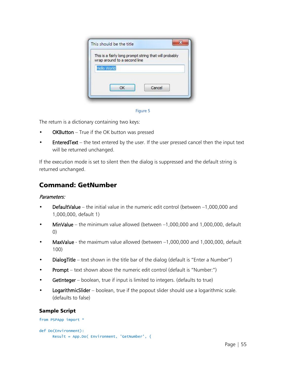| This is a fairly long prompt string that will probably<br>wrap around to a second line |        |  |
|----------------------------------------------------------------------------------------|--------|--|
| Hello World                                                                            |        |  |
|                                                                                        |        |  |
| ОК                                                                                     | Cancel |  |



The return is a dictionary containing two keys:

- OKButton True if the OK button was pressed
- **EnteredText** the text entered by the user. If the user pressed cancel then the input text will be returned unchanged.

If the execution mode is set to silent then the dialog is suppressed and the default string is returned unchanged.

### <span id="page-57-0"></span>Command: GetNumber

#### Parameters:

- **DefaultValue** the initial value in the numeric edit control (between  $-1,000,000$  and 1,000,000, default 1)
- MinValue the minimum value allowed (between –1,000,000 and 1,000,000, default 0)
- MaxValue the maximum value allowed (between –1,000,000 and 1,000,000, default 100)
- DialogTitle text shown in the title bar of the dialog (default is "Enter a Number")
- Prompt text shown above the numeric edit control (default is "Number:")
- GetInteger boolean, true if input is limited to integers. (defaults to true)
- LogarithmicSlider boolean, true if the popout slider should use a logarithmic scale. (defaults to false)

```
from PSPApp import *
def Do(Environment):
     Result = App.Do( Environment, 'GetNumber', {
```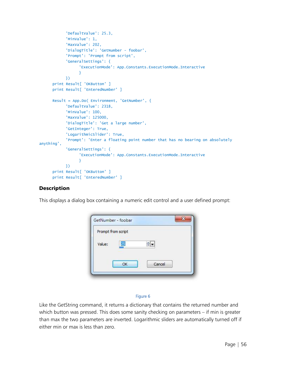```
'DefaultValue': 25.3,
            'MinValue': 1,
            'MaxValue': 202,
            'DialogTitle': 'GetNumber - foobar',
            'Prompt': 'Prompt from script',
            'GeneralSettings': {
                  'ExecutionMode': App.Constants.ExecutionMode.Interactive
                 }
           })
      print Result[ 'OKButton' ]
      print Result[ 'EnteredNumber' ]
      Result = App.Do( Environment, 'GetNumber', {
            'DefaultValue': 2318,
           'MinValue': 100,
           'MaxValue': 125000,
            'DialogTitle': 'Get a large number',
            'GetInteger': True,
            'LogarithmicSlider': True,
            'Prompt': 'Enter a floating point number that has no bearing on absolutely 
anything',
            'GeneralSettings': {
                  'ExecutionMode': App.Constants.ExecutionMode.Interactive
                 }
           })
      print Result[ 'OKButton' ]
      print Result[ 'EnteredNumber' ]
```
This displays a dialog box containing a numeric edit control and a user defined prompt:

| Prompt from script |           |        |  |
|--------------------|-----------|--------|--|
| Value:             | 25        |        |  |
|                    | <b>OK</b> | Cancel |  |

#### Figure 6

Like the GetString command, it returns a dictionary that contains the returned number and which button was pressed. This does some sanity checking on parameters – if min is greater than max the two parameters are inverted. Logarithmic sliders are automatically turned off if either min or max is less than zero.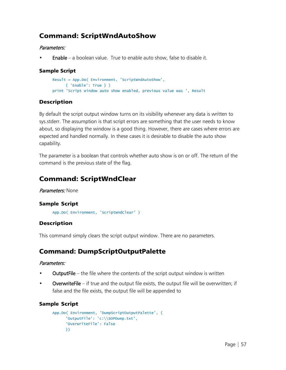### <span id="page-59-0"></span>Command: ScriptWndAutoShow

#### Parameters:

• Enable – a boolean value. True to enable auto show, false to disable it.

#### Sample Script

```
Result = App.Do( Environment, 'ScriptWndAutoShow',
     { 'Enable': True } )
print 'Script window auto show enabled, previous value was ', Result
```
#### Description

By default the script output window turns on its visibility whenever any data is written to sys.stderr. The assumption is that script errors are something that the user needs to know about, so displaying the window is a good thing. However, there are cases where errors are expected and handled normally. In these cases it is desirable to disable the auto show capability.

The parameter is a boolean that controls whether auto show is on or off. The return of the command is the previous state of the flag.

### <span id="page-59-1"></span>Command: ScriptWndClear

#### Parameters: None

#### Sample Script

```
App.Do( Environment, 'ScriptWndClear' )
```
#### Description

This command simply clears the script output window. There are no parameters.

# <span id="page-59-2"></span>Command: DumpScriptOutputPalette

#### Parameters:

- **OutputFile** the file where the contents of the script output window is written
- **OverwriteFile** if true and the output file exists, the output file will be overwritten; if false and the file exists, the output file will be appended to

```
App.Do( Environment, 'DumpScriptOutputPalette', {
      'OutputFile': 'c:\\SOPDump.txt',
      'OverwriteFile': False
     })
```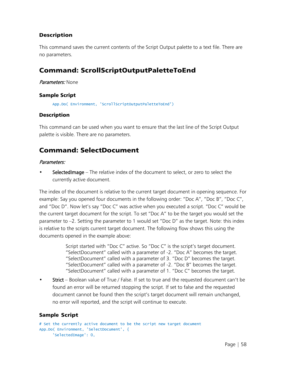This command saves the current contents of the Script Output palette to a text file. There are no parameters.

### <span id="page-60-0"></span>Command: ScrollScriptOutputPaletteToEnd

Parameters: None

#### Sample Script

App.Do( Environment, 'ScrollScriptOutputPaletteToEnd')

#### **Description**

This command can be used when you want to ensure that the last line of the Script Output palette is visible. There are no parameters.

### <span id="page-60-1"></span>Command: SelectDocument

#### Parameters:

SelectedImage – The relative index of the document to select, or zero to select the currently active document.

The index of the document is relative to the current target document in opening sequence. For example: Say you opened four documents in the following order: "Doc A", "Doc B", "Doc C", and "Doc D". Now let's say "Doc C" was active when you executed a script. "Doc C" would be the current target document for the script. To set "Doc A" to be the target you would set the parameter to –2. Setting the parameter to 1 would set "Doc D" as the target. Note: this index is relative to the scripts current target document. The following flow shows this using the documents opened in the example above:

> Script started with "Doc C" active. So "Doc C" is the script's target document. "SelectDocument" called with a parameter of -2. "Doc A" becomes the target. "SelectDocument" called with a parameter of 3. "Doc D" becomes the target. "SelectDocument" called with a parameter of -2. "Doc B" becomes the target. "SelectDocument" called with a parameter of 1. "Doc C" becomes the target.

• Strict – Boolean value of True / False. If set to true and the requested document can't be found an error will be returned stopping the script. If set to false and the requested document cannot be found then the script's target document will remain unchanged, no error will reported, and the script will continue to execute.

```
# Set the currently active document to be the script new target document
App.Do( Environment, 'SelectDocument', {
     'SelectedImage': 0,
```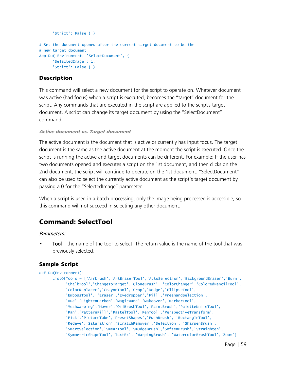```
'Strict': False } )
# Set the document opened after the current target document to be the
# new target document
App.Do( Environment, 'SelectDocument', {
     'SelectedImage': 1,
     'Strict': False } )
```
This command will select a new document for the script to operate on. Whatever document was active (had focus) when a script is executed, becomes the "target" document for the script. Any commands that are executed in the script are applied to the script's target document. A script can change its target document by using the "SelectDocument" command.

#### Active document vs. Target document

The active document is the document that is active or currently has input focus. The target document is the same as the active document at the moment the script is executed. Once the script is running the active and target documents can be different. For example: If the user has two documents opened and executes a script on the 1st document, and then clicks on the 2nd document, the script will continue to operate on the 1st document. "SelectDocument" can also be used to select the currently active document as the script's target document by passing a 0 for the "SelectedImage" parameter.

When a script is used in a batch processing, only the image being processed is accessible, so this command will not succeed in selecting any other document.

# <span id="page-61-0"></span>Command: SelectTool

#### Parameters:

Tool – the name of the tool to select. The return value is the name of the tool that was previously selected.

```
def Do(Environment):
     ListOfTools = ['Airbrush','ArtEraserTool','AutoSelection','BackgroundEraser','Burn',
            'ChalkTool','ChangeToTarget','CloneBrush', 'ColorChanger','ColoredPencilTool',
            'ColorReplacer','CrayonTool','Crop','Dodge','EllipseTool',
            'EmbossTool', 'Eraser','Eyedropper','Fill','FreehandSelection',
            'Hue','LightenDarken','MagicWand','Makeover','MarkerTool',
           'MeshWarping','Mover','OilBrushTool','PaintBrush','PaletteKnifeTool',
            'Pan','PatternFill','PastelTool','PenTool','PerspectiveTransform',
            'Pick','PictureTube','PresetShapes','PushBrush', 'RectangleTool',
           'Redeye','Saturation','ScratchRemover','Selection', 'SharpenBrush',
            'SmartSelection','SmearTool','SmudgeBrush','SoftenBrush','Straighten',
            'SymmetricShapeTool','TextEx', 'WarpingBrush', 'WatercolorBrushTool','Zoom']
```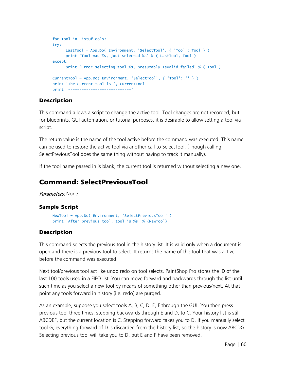```
for Tool in ListOfTools:
try:
     LastTool = App.Do( Environment, 'SelectTool', { 'Tool': Tool } )
     print 'Tool was %s, just selected %s' % ( LastTool, Tool )
except:
     print 'Error selecting tool %s, presumably IsValid failed' % ( Tool )
CurrentTool = App.Do( Environment, 'SelectTool', { 'Tool': '' } )
print 'The current tool is ', CurrentTool
print '----------------------------'
```
This command allows a script to change the active tool. Tool changes are not recorded, but for blueprints, GUI automation, or tutorial purposes, it is desirable to allow setting a tool via script.

The return value is the name of the tool active before the command was executed. This name can be used to restore the active tool via another call to SelectTool. (Though calling SelectPreviousTool does the same thing without having to track it manually).

If the tool name passed in is blank, the current tool is returned without selecting a new one.

### <span id="page-62-0"></span>Command: SelectPreviousTool

Parameters: None

### Sample Script

```
NewTool = App.Do( Environment, 'SelectPreviousTool' )
print 'After previous tool, tool is %s' % (NewTool)
```
### Description

This command selects the previous tool in the history list. It is valid only when a document is open and there is a previous tool to select. It returns the name of the tool that was active before the command was executed.

Next tool/previous tool act like undo redo on tool selects. PaintShop Pro stores the ID of the last 100 tools used in a FIFO list. You can move forward and backwards through the list until such time as you select a new tool by means of something other than previous/next. At that point any tools forward in history (i.e. redo) are purged.

As an example, suppose you select tools A, B, C, D, E, F through the GUI. You then press previous tool three times, stepping backwards through E and D, to C. Your history list is still ABCDEF, but the current location is C. Stepping forward takes you to D. If you manually select tool G, everything forward of D is discarded from the history list, so the history is now ABCDG. Selecting previous tool will take you to D, but E and F have been removed.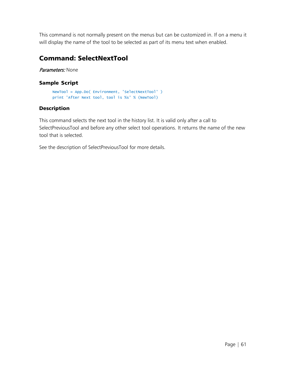This command is not normally present on the menus but can be customized in. If on a menu it will display the name of the tool to be selected as part of its menu text when enabled.

### <span id="page-63-0"></span>Command: SelectNextTool

Parameters: None

#### Sample Script

```
NewTool = App.Do( Environment, 'SelectNextTool' )
print 'After Next tool, tool is %s' % (NewTool)
```
#### **Description**

This command selects the next tool in the history list. It is valid only after a call to SelectPreviousTool and before any other select tool operations. It returns the name of the new tool that is selected.

See the description of SelectPreviousTool for more details.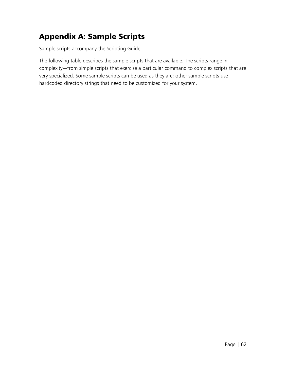# <span id="page-64-0"></span>Appendix A: Sample Scripts

Sample scripts accompany the Scripting Guide.

The following table describes the sample scripts that are available. The scripts range in complexity—from simple scripts that exercise a particular command to complex scripts that are very specialized. Some sample scripts can be used as they are; other sample scripts use hardcoded directory strings that need to be customized for your system.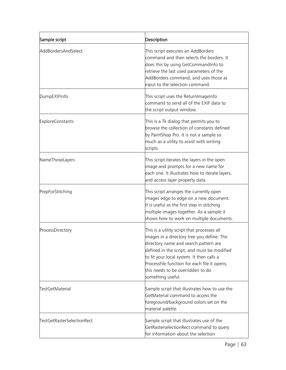| Sample script              | Description                                                                                                                                                                                                                                                                                                                              |
|----------------------------|------------------------------------------------------------------------------------------------------------------------------------------------------------------------------------------------------------------------------------------------------------------------------------------------------------------------------------------|
| AddBordersAndSelect        | This script executes an AddBorders<br>command and then selects the borders. It<br>does this by using GetCommandInfo to<br>retrieve the last used parameters of the<br>AddBorders command, and uses those as<br>input to the selection command.                                                                                           |
| DumpEXIFInfo               | This script uses the ReturnImageInfo<br>command to send all of the EXIF data to<br>the script output window.                                                                                                                                                                                                                             |
| <b>ExploreConstants</b>    | This is a Tk dialog that permits you to<br>browse the collection of constants defined<br>by PaintShop Pro. It is not a sample so<br>much as a utility to assist with writing<br>scripts.                                                                                                                                                 |
| NameThoseLayers            | This script iterates the layers in the open<br>image and prompts for a new name for<br>each one. It illustrates how to iterate layers,<br>and access layer property data.                                                                                                                                                                |
| PrepForStitching           | This script arranges the currently open<br>images edge to edge on a new document.<br>It is useful as the first step in stitching<br>multiple images together. As a sample it<br>shows how to work on multiple documents.                                                                                                                 |
| ProcessDirectory           | This is a utility script that processes all<br>images in a directory tree you define. The<br>directory name and search pattern are<br>defined in the script, and must be modified<br>to fit your local system. It then calls a<br>ProcessFile function for each file it opens;<br>this needs to be overridden to do<br>something useful. |
| <b>TestGetMaterial</b>     | Sample script that illustrates how to use the<br>GetMaterial command to access the<br>foreground/background colors set on the<br>material palette.                                                                                                                                                                                       |
| TestGetRasterSelectionRect | Sample script that illustrates use of the<br>GetRasterselectionRect command to query<br>for information about the selection                                                                                                                                                                                                              |